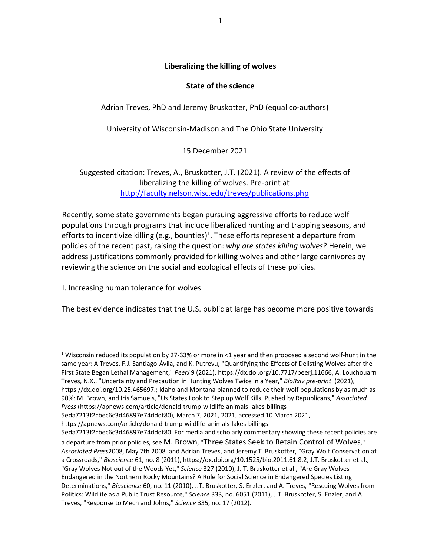## **Liberalizing the killing of wolves**

## **State of the science**

Adrian Treves, PhD and Jeremy Bruskotter, PhD (equal co-authors)

University of Wisconsin-Madison and The Ohio State University

15 December 2021

Suggested citation: Treves, A., Bruskotter, J.T. (2021). A review of the effects of liberalizing the killing of wolves. Pre-print at http://faculty.nelson.wisc.edu/treves/publications.php

Recently, some state governments began pursuing aggressive efforts to reduce wolf populations through programs that include liberalized hunting and trapping seasons, and efforts to incentivize killing (e.g., bounties)<sup>1</sup>. These efforts represent a departure from policies of the recent past, raising the question: *why are states killing wolves*? Herein, we address justifications commonly provided for killing wolves and other large carnivores by reviewing the science on the social and ecological effects of these policies.

I. Increasing human tolerance for wolves

The best evidence indicates that the U.S. public at large has become more positive towards

<sup>1</sup> Wisconsin reduced its population by 27-33% or more in <1 year and then proposed a second wolf-hunt in the same year: A Treves, F.J. Santiago-Ávila, and K. Putrevu, "Quantifying the Effects of Delisting Wolves after the First State Began Lethal Management," *PeerJ* 9 (2021), https://dx.doi.org/10.7717/peerj.11666, A. Louchouarn Treves, N.X., "Uncertainty and Precaution in Hunting Wolves Twice in a Year," *BioRxiv pre-print* (2021), https://dx.doi.org/10.25.465697.; Idaho and Montana planned to reduce their wolf populations by as much as 90%: M. Brown, and Iris Samuels, "Us States Look to Step up Wolf Kills, Pushed by Republicans," *Associated Press* (https://apnews.com/article/donald-trump-wildlife-animals-lakes-billings-

5eda7213f2cbec6c3d46897e74dddf80), March 7, 2021, 2021, accessed 10 March 2021,

https://apnews.com/article/donald-trump-wildlife-animals-lakes-billings-

<sup>5</sup>eda7213f2cbec6c3d46897e74dddf80. For media and scholarly commentary showing these recent policies are a departure from prior policies, see M. Brown, "Three States Seek to Retain Control of Wolves," *Associated Press*2008, May 7th 2008. and Adrian Treves, and Jeremy T. Bruskotter, "Gray Wolf Conservation at a Crossroads," *Bioscience* 61, no. 8 (2011), https://dx.doi.org/10.1525/bio.2011.61.8.2, J.T. Bruskotter et al., "Gray Wolves Not out of the Woods Yet," *Science* 327 (2010), J. T. Bruskotter et al., "Are Gray Wolves Endangered in the Northern Rocky Mountains? A Role for Social Science in Endangered Species Listing Determinations," *Bioscience* 60, no. 11 (2010), J.T. Bruskotter, S. Enzler, and A. Treves, "Rescuing Wolves from Politics: Wildlife as a Public Trust Resource," *Science* 333, no. 6051 (2011), J.T. Bruskotter, S. Enzler, and A. Treves, "Response to Mech and Johns," *Science* 335, no. 17 (2012).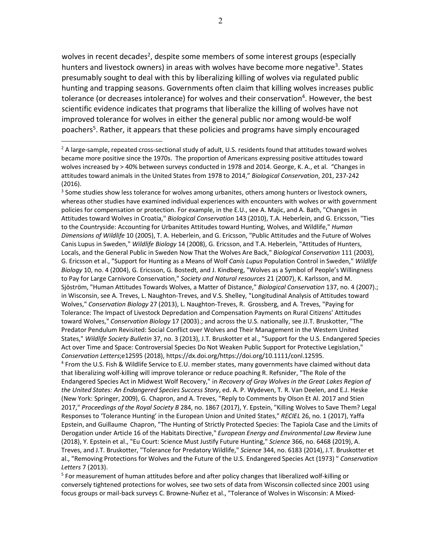wolves in recent decades<sup>2</sup>, despite some members of some interest groups (especially hunters and livestock owners) in areas with wolves have become more negative<sup>3</sup>. States presumably sought to deal with this by liberalizing killing of wolves via regulated public hunting and trapping seasons. Governments often claim that killing wolves increases public tolerance (or decreases intolerance) for wolves and their conservation<sup>4</sup>. However, the best scientific evidence indicates that programs that liberalize the killing of wolves have not improved tolerance for wolves in either the general public nor among would-be wolf poachers<sup>5</sup>. Rather, it appears that these policies and programs have simply encouraged

<sup>3</sup> Some studies show less tolerance for wolves among urbanites, others among hunters or livestock owners, whereas other studies have examined individual experiences with encounters with wolves or with government policies for compensation or protection. For example, in the E.U., see A. Majic, and A. Bath, "Changes in Attitudes toward Wolves in Croatia," *Biological Conservation* 143 (2010), T.A. Heberlein, and G. Ericsson, "Ties to the Countryside: Accounting for Urbanites Attitudes toward Hunting, Wolves, and Wildlife," *Human Dimensions of Wildlife* 10 (2005), T. A. Heberlein, and G. Ericsson, "Public Attitudes and the Future of Wolves Canis Lupus in Sweden," *Wildlife Biology* 14 (2008), G. Ericsson, and T.A. Heberlein, "Attitudes of Hunters, Locals, and the General Public in Sweden Now That the Wolves Are Back," *Biological Conservation* 111 (2003), G. Ericsson et al., "Support for Hunting as a Means of Wolf *Canis Lupus* Population Control in Sweden," *Wildlife Biology* 10, no. 4 (2004), G. Ericsson, G. Bostedt, and J. Kindberg, "Wolves as a Symbol of People's Willingness to Pay for Large Carnivore Conservation," *Society and Natural resources* 21 (2007), K. Karlsson, and M. Sjöström, "Human Attitudes Towards Wolves, a Matter of Distance," *Biological Conservation* 137, no. 4 (2007).; in Wisconsin, see A. Treves, L. Naughton-Treves, and V.S. Shelley, "Longitudinal Analysis of Attitudes toward Wolves," *Conservation Biology* 27 (2013), L. Naughton-Treves, R. Grossberg, and A. Treves, "Paying for Tolerance: The Impact of Livestock Depredation and Compensation Payments on Rural Citizens' Attitudes toward Wolves," *Conservation Biology* 17 (2003).; and across the U.S. nationally, see JJ.T. Bruskotter, "The Predator Pendulum Revisited: Social Conflict over Wolves and Their Management in the Western United States," *Wildlife Society Bulletin* 37, no. 3 (2013), J.T. Bruskotter et al., "Support for the U.S. Endangered Species Act over Time and Space: Controversial Species Do Not Weaken Public Support for Protective Legislation," *Conservation Letters*;e12595 (2018), https://dx.doi.org/https://doi.org/10.1111/conl.12595. <sup>4</sup> From the U.S. Fish & Wildlife Service to E.U. member states, many governments have claimed without data that liberalizing wolf-killing will improve tolerance or reduce poaching R. Refsnider, "The Role of the Endangered Species Act in Midwest Wolf Recovery," in *Recovery of Gray Wolves in the Great Lakes Region of the United States: An Endangered Species Success Story*, ed. A. P. Wydeven, T. R. Van Deelen, and E.J. Heske (New York: Springer, 2009), G. Chapron, and A. Treves, "Reply to Comments by Olson Et Al. 2017 and Stien 2017," *Proceedings of the Royal Society B* 284, no. 1867 (2017), Y. Epstein, "Killing Wolves to Save Them? Legal Responses to 'Tolerance Hunting' in the European Union and United States," *RECIEL* 26, no. 1 (2017), Yaffa Epstein, and Guillaume Chapron, "The Hunting of Strictly Protected Species: The Tapiola Case and the Limits of

Derogation under Article 16 of the Habitats Directive," *European Energy and Environmental Law Review* June (2018), Y. Epstein et al., "Eu Court: Science Must Justify Future Hunting," *Science* 366, no. 6468 (2019), A. Treves, and J.T. Bruskotter, "Tolerance for Predatory Wildlife," *Science* 344, no. 6183 (2014), J.T. Bruskotter et al., "Removing Protections for Wolves and the Future of the U.S. Endangered Species Act (1973) " *Conservation Letters* 7 (2013).

<sup>5</sup> For measurement of human attitudes before and after policy changes that liberalized wolf-killing or conversely tightened protections for wolves, see two sets of data from Wisconsin collected since 2001 using focus groups or mail-back surveys C. Browne-Nuñez et al., "Tolerance of Wolves in Wisconsin: A Mixed-

<sup>&</sup>lt;sup>2</sup> A large-sample, repeated cross-sectional study of adult, U.S. residents found that attitudes toward wolves became more positive since the 1970s. The proportion of Americans expressing positive attitudes toward wolves increased by > 40% between surveys conducted in 1978 and 2014. George, K. A., et al. "Changes in attitudes toward animals in the United States from 1978 to 2014," *Biological Conservation*, 201, 237-242 (2016).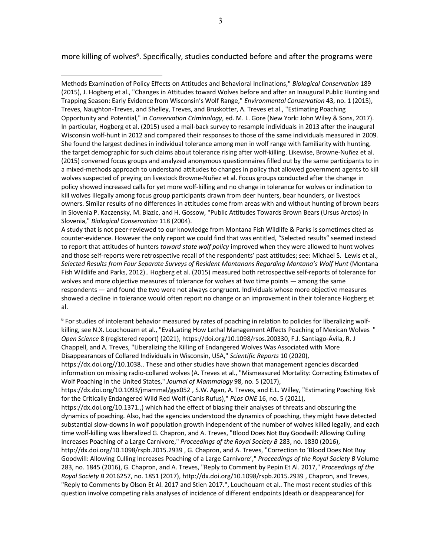more killing of wolves<sup>6</sup>. Specifically, studies conducted before and after the programs were

A study that is not peer-reviewed to our knowledge from Montana Fish Wildlife & Parks is sometimes cited as counter-evidence. However the only report we could find that was entitled, "Selected results" seemed instead to report that attitudes of hunters *toward state wolf policy* improved when they were allowed to hunt wolves and those self-reports were retrospective recall of the respondents' past attitudes; see: Michael S. Lewis et al., *Selected Results from Four Separate Surveys of Resident Montanans Regarding Montana's Wolf Hunt* (Montana Fish Wildlife and Parks, 2012).. Hogberg et al. (2015) measured both retrospective self-reports of tolerance for wolves and more objective measures of tolerance for wolves at two time points  $-$  among the same respondents — and found the two were not always congruent. Individuals whose more objective measures showed a decline in tolerance would often report no change or an improvement in their tolerance Hogberg et al.

<sup>6</sup> For studies of intolerant behavior measured by rates of poaching in relation to policies for liberalizing wolfkilling, see N.X. Louchouarn et al., "Evaluating How Lethal Management Affects Poaching of Mexican Wolves " *Open Science* 8 (registered report) (2021), https://doi.org/10.1098/rsos.200330, F.J. Santiago-Ávila, R. J Chappell, and A. Treves, "Liberalizing the Killing of Endangered Wolves Was Associated with More Disappearances of Collared Individuals in Wisconsin, USA," *Scientific Reports* 10 (2020), https://dx.doi.org//10.1038.. These and other studies have shown that management agencies discarded information on missing radio-collared wolves (A. Treves et al., "Mismeasured Mortality: Correcting Estimates of Wolf Poaching in the United States," *Journal of Mammalogy* 98, no. 5 (2017), https://dx.doi.org/10.1093/jmammal/gyx052 , S.W. Agan, A. Treves, and E.L. Willey, "Estimating Poaching Risk for the Critically Endangered Wild Red Wolf (Canis Rufus)," *PLos ONE* 16, no. 5 (2021), https://dx.doi.org/10.1371.,) which had the effect of biasing their analyses of threats and obscuring the dynamics of poaching. Also, had the agencies understood the dynamics of poaching, they might have detected substantial slow-downs in wolf population growth independent of the number of wolves killed legally, and each time wolf-killing was liberalized G. Chapron, and A. Treves, "Blood Does Not Buy Goodwill: Allowing Culling Increases Poaching of a Large Carnivore," *Proceedings of the Royal Society B* 283, no. 1830 (2016), http://dx.doi.org/10.1098/rspb.2015.2939 , G. Chapron, and A. Treves, "Correction to 'Blood Does Not Buy Goodwill: Allowing Culling Increases Poaching of a Large Carnivore'," *Proceedings of the Royal Society B* Volume 283, no. 1845 (2016), G. Chapron, and A. Treves, "Reply to Comment by Pepin Et Al. 2017," *Proceedings of the Royal Society B* 2016257, no. 1851 (2017), http://dx.doi.org/10.1098/rspb.2015.2939 , Chapron, and Treves, "Reply to Comments by Olson Et Al. 2017 and Stien 2017.", Louchouarn et al.. The most recent studies of this question involve competing risks analyses of incidence of different endpoints (death or disappearance) for

3

Methods Examination of Policy Effects on Attitudes and Behavioral Inclinations," *Biological Conservation* 189 (2015), J. Hogberg et al., "Changes in Attitudes toward Wolves before and after an Inaugural Public Hunting and Trapping Season: Early Evidence from Wisconsin's Wolf Range," *Environmental Conservation* 43, no. 1 (2015), Treves, Naughton-Treves, and Shelley, Treves, and Bruskotter, A. Treves et al., "Estimating Poaching Opportunity and Potential," in *Conservation Criminology*, ed. M. L. Gore (New York: John Wiley & Sons, 2017). In particular, Hogberg et al. (2015) used a mail-back survey to resample individuals in 2013 after the inaugural Wisconsin wolf-hunt in 2012 and compared their responses to those of the same individuals measured in 2009. She found the largest declines in individual tolerance among men in wolf range with familiarity with hunting, the target demographic for such claims about tolerance rising after wolf-killing. Likewise, Browne-Nuñez et al. (2015) convened focus groups and analyzed anonymous questionnaires filled out by the same participants to in a mixed-methods approach to understand attitudes to changes in policy that allowed government agents to kill wolves suspected of preying on livestock Browne-Nuñez et al. Focus groups conducted after the change in policy showed increased calls for yet more wolf-killing and no change in tolerance for wolves or inclination to kill wolves illegally among focus group participants drawn from deer hunters, bear hounders, or livestock owners. Similar results of no differences in attitudes come from areas with and without hunting of brown bears in Slovenia P. Kaczensky, M. Blazic, and H. Gossow, "Public Attitudes Towards Brown Bears (Ursus Arctos) in Slovenia," *Biological Conservation* 118 (2004).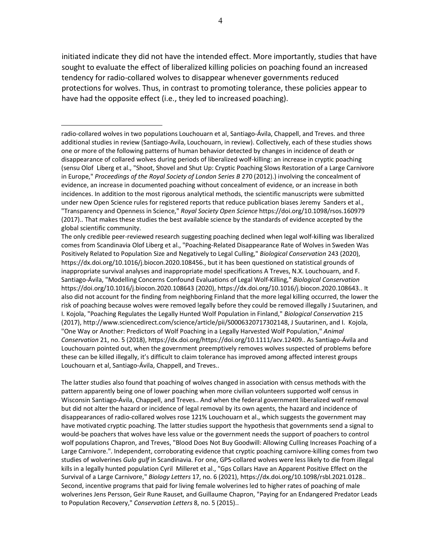initiated indicate they did not have the intended effect. More importantly, studies that have sought to evaluate the effect of liberalized killing policies on poaching found an increased tendency for radio-collared wolves to disappear whenever governments reduced protections for wolves. Thus, in contrast to promoting tolerance, these policies appear to have had the opposite effect (i.e., they led to increased poaching).

The latter studies also found that poaching of wolves changed in association with census methods with the pattern apparently being one of lower poaching when more civilian volunteers supported wolf census in Wisconsin Santiago-Ávila, Chappell, and Treves.. And when the federal government liberalized wolf removal but did not alter the hazard or incidence of legal removal by its own agents, the hazard and incidence of disappearances of radio-collared wolves rose 121% Louchouarn et al., which suggests the government may have motivated cryptic poaching. The latter studies support the hypothesis that governments send a signal to would-be poachers that wolves have less value or the government needs the support of poachers to control wolf populations Chapron, and Treves, "Blood Does Not Buy Goodwill: Allowing Culling Increases Poaching of a Large Carnivore.". Independent, corroborating evidence that cryptic poaching carnivore-killing comes from two studies of wolverines *Gulo gulf* in Scandinavia. For one, GPS-collared wolves were less likely to die from illegal kills in a legally hunted population Cyril Milleret et al., "Gps Collars Have an Apparent Positive Effect on the Survival of a Large Carnivore," *Biology Letters* 17, no. 6 (2021), https://dx.doi.org/10.1098/rsbl.2021.0128.. Second, incentive programs that paid for living female wolverines led to higher rates of poaching of male wolverines Jens Persson, Geir Rune Rauset, and Guillaume Chapron, "Paying for an Endangered Predator Leads to Population Recovery," *Conservation Letters* 8, no. 5 (2015)..

radio-collared wolves in two populations Louchouarn et al, Santiago-Ávila, Chappell, and Treves. and three additional studies in review (Santiago-Avila, Louchouarn, in review). Collectively, each of these studies shows one or more of the following patterns of human behavior detected by changes in incidence of death or disappearance of collared wolves during periods of liberalized wolf-killing: an increase in cryptic poaching (sensu Olof Liberg et al., "Shoot, Shovel and Shut Up: Cryptic Poaching Slows Restoration of a Large Carnivore in Europe," *Proceedings of the Royal Society of London Series B* 270 (2012).) involving the concealment of evidence, an increase in documented poaching without concealment of evidence, or an increase in both incidences. In addition to the most rigorous analytical methods, the scientific manuscripts were submitted under new Open Science rules for registered reports that reduce publication biases Jeremy Sanders et al., "Transparency and Openness in Science," *Royal Society Open Science* https://doi.org/10.1098/rsos.160979 (2017).. That makes these studies the best available science by the standards of evidence accepted by the global scientific community.

The only credible peer-reviewed research suggesting poaching declined when legal wolf-killing was liberalized comes from Scandinavia Olof Liberg et al., "Poaching-Related Disappearance Rate of Wolves in Sweden Was Positively Related to Population Size and Negatively to Legal Culling," *Biological Conservation* 243 (2020), https://dx.doi.org/10.1016/j.biocon.2020.108456., but it has been questioned on statistical grounds of inappropriate survival analyses and inappropriate model specifications A Treves, N.X. Louchouarn, and F. Santiago-Ávila, "Modelling Concerns Confound Evaluations of Legal Wolf-Killing," *Biological Conservation* https://doi.org/10.1016/j.biocon.2020.108643 (2020), https://dx.doi.org/10.1016/j.biocon.2020.108643.. It also did not account for the finding from neighboring Finland that the more legal killing occurred, the lower the risk of poaching because wolves were removed legally before they could be removed illegally J Suutarinen, and I. Kojola, "Poaching Regulates the Legally Hunted Wolf Population in Finland," *Biological Conservation* 215 (2017), http://www.sciencedirect.com/science/article/pii/S0006320717302148, J Suutarinen, and I. Kojola, "One Way or Another: Predictors of Wolf Poaching in a Legally Harvested Wolf Population," *Animal Conservation* 21, no. 5 (2018), https://dx.doi.org/https://doi.org/10.1111/acv.12409.. As Santiago-Ávila and Louchouarn pointed out, when the government preemptively removes wolves suspected of problems before these can be killed illegally, it's difficult to claim tolerance has improved among affected interest groups Louchouarn et al, Santiago-Ávila, Chappell, and Treves..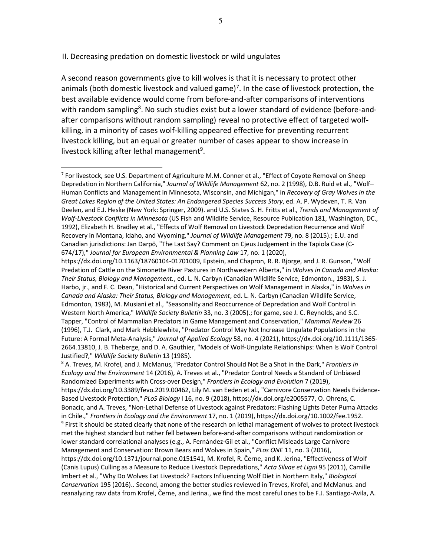II. Decreasing predation on domestic livestock or wild ungulates

A second reason governments give to kill wolves is that it is necessary to protect other animals (both domestic livestock and valued game)<sup>7</sup>. In the case of livestock protection, the best available evidence would come from before-and-after comparisons of interventions with random sampling<sup>8</sup>. No such studies exist but a lower standard of evidence (before-andafter comparisons without random sampling) reveal no protective effect of targeted wolfkilling, in a minority of cases wolf-killing appeared effective for preventing recurrent livestock killing, but an equal or greater number of cases appear to show increase in livestock killing after lethal management<sup>9</sup>.

 $7$  For livestock, see U.S. Department of Agriculture M.M. Conner et al., "Effect of Coyote Removal on Sheep Depredation in Northern California," *Journal of Wildlife Management* 62, no. 2 (1998), D.B. Ruid et al., "Wolf– Human Conflicts and Management in Minnesota, Wisconsin, and Michigan," in *Recovery of Gray Wolves in the Great Lakes Region of the United States: An Endangered Species Success Story*, ed. A. P. Wydeven, T. R. Van Deelen, and E.J. Heske (New York: Springer, 2009). and U.S. States S. H. Fritts et al., *Trends and Management of Wolf-Livestock Conflicts in Minnesota* (US Fish and Wildlife Service, Resource Publication 181, Washington, DC., 1992), Elizabeth H. Bradley et al., "Effects of Wolf Removal on Livestock Depredation Recurrence and Wolf Recovery in Montana, Idaho, and Wyoming," *Journal of Wildlife Management* 79, no. 8 (2015).; E.U. and Canadian jurisdictions: Jan Darpö, "The Last Say? Comment on Cjeus Judgement in the Tapiola Case (C-674/17)," *Journal for European Environmental & Planning Law* 17, no. 1 (2020),

https://dx.doi.org/10.1163/18760104-01701009, Epstein, and Chapron, R. R. Bjorge, and J. R. Gunson, "Wolf Predation of Cattle on the Simonette River Pastures in Northwestern Alberta," in *Wolves in Canada and Alaska: Their Status, Biology and Management.*, ed. L. N. Carbyn (Canadian Wildlife Service, Edmonton., 1983), S. J. Harbo, jr., and F. C. Dean, "Historical and Current Perspectives on Wolf Management in Alaska," in *Wolves in Canada and Alaska: Their Status, Biology and Management*, ed. L. N. Carbyn (Canadian Wildlife Service, Edmonton, 1983), M. Musiani et al., "Seasonality and Reoccurrence of Depredation and Wolf Control in Western North America," *Wildlife Society Bulletin* 33, no. 3 (2005).; for game, see J. C. Reynolds, and S.C. Tapper, "Control of Mammalian Predators in Game Management and Conservation," *Mammal Review* 26 (1996), T.J. Clark, and Mark Hebblewhite, "Predator Control May Not Increase Ungulate Populations in the Future: A Formal Meta-Analysis," *Journal of Applied Ecology* 58, no. 4 (2021), https://dx.doi.org/10.1111/1365- 2664.13810, J. B. Theberge, and D. A. Gauthier, "Models of Wolf-Ungulate Relationships: When Is Wolf Control Justified?," *Wildlife Society Bulletin* 13 (1985).

<sup>8</sup> A. Treves, M. Krofel, and J. McManus, "Predator Control Should Not Be a Shot in the Dark," *Frontiers in Ecology and the Environment* 14 (2016), A. Treves et al., "Predator Control Needs a Standard of Unbiased Randomized Experiments with Cross-over Design," *Frontiers in Ecology and Evolution* 7 (2019), https://dx.doi.org/10.3389/fevo.2019.00462, Lily M. van Eeden et al., "Carnivore Conservation Needs Evidence-Based Livestock Protection," *PLoS Biology* l 16, no. 9 (2018), https://dx.doi.org/e2005577, O. Ohrens, C. Bonacic, and A. Treves, "Non-Lethal Defense of Livestock against Predators: Flashing Lights Deter Puma Attacks in Chile.," *Frontiers in Ecology and the Environment* 17, no. 1 (2019), https://dx.doi.org/10.1002/fee.1952. <sup>9</sup> First it should be stated clearly that none of the research on lethal management of wolves to protect livestock met the highest standard but rather fell between before-and-after comparisons without randomization or lower standard correlational analyses (e.g., A. Fernández-Gil et al., "Conflict Misleads Large Carnivore Management and Conservation: Brown Bears and Wolves in Spain," *PLos ONE* 11, no. 3 (2016), https://dx.doi.org/10.1371/journal.pone.0151541, M. Krofel, R. Černe, and K. Jerina, "Effectiveness of Wolf (Canis Lupus) Culling as a Measure to Reduce Livestock Depredations," *Acta Silvae et Ligni* 95 (2011), Camille Imbert et al., "Why Do Wolves Eat Livestock? Factors Influencing Wolf Diet in Northern Italy," *Biological Conservation* 195 (2016).. Second, among the better studies reviewed in Treves, Krofel, and McManus. and reanalyzing raw data from Krofel, Černe, and Jerina., we find the most careful ones to be F.J. Santiago-Avila, A.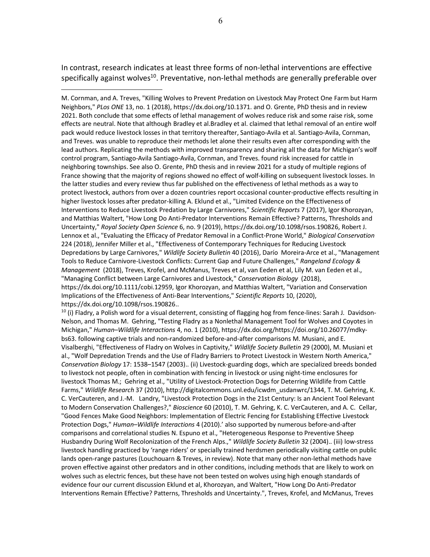In contrast, research indicates at least three forms of non-lethal interventions are effective specifically against wolves<sup>10</sup>. Preventative, non-lethal methods are generally preferable over

M. Cornman, and A. Treves, "Killing Wolves to Prevent Predation on Livestock May Protect One Farm but Harm Neighbors," *PLos ONE* 13, no. 1 (2018), https://dx.doi.org/10.1371. and O. Grente, PhD thesis and in review 2021. Both conclude that some effects of lethal management of wolves reduce risk and some raise risk, some effects are neutral. Note that although Bradley et al.Bradley et al. claimed that lethal removal of an entire wolf pack would reduce livestock losses in that territory thereafter, Santiago-Avila et al. Santiago-Avila, Cornman, and Treves. was unable to reproduce their methods let alone their results even after corresponding with the lead authors. Replicating the methods with improved transparency and sharing all the data for Michigan's wolf control program, Santiago-Avila Santiago-Avila, Cornman, and Treves. found risk increased for cattle in neighboring townships. See also O. Grente, PhD thesis and in review 2021 for a study of multiple regions of France showing that the majority of regions showed no effect of wolf-killing on subsequent livestock losses. In the latter studies and every review thus far published on the effectiveness of lethal methods as a way to protect livestock, authors from over a dozen countries report occasional counter-productive effects resulting in higher livestock losses after predator-killing A. Eklund et al., "Limited Evidence on the Effectiveness of Interventions to Reduce Livestock Predation by Large Carnivores," *Scientific Reports* 7 (2017), Igor Khorozyan, and Matthias Waltert, "How Long Do Anti-Predator Interventions Remain Effective? Patterns, Thresholds and Uncertainty," *Royal Society Open Science* 6, no. 9 (2019), https://dx.doi.org/10.1098/rsos.190826, Robert J. Lennox et al., "Evaluating the Efficacy of Predator Removal in a Conflict-Prone World," *Biological Conservation* 224 (2018), Jennifer Miller et al., "Effectiveness of Contemporary Techniques for Reducing Livestock Depredations by Large Carnivores," *Wildlife Society Bulletin* 40 (2016), Darío Moreira-Arce et al., "Management Tools to Reduce Carnivore-Livestock Conflicts: Current Gap and Future Challenges," *Rangeland Ecology & Management* (2018), Treves, Krofel, and McManus, Treves et al, van Eeden et al, Lily M. van Eeden et al., "Managing Conflict between Large Carnivores and Livestock," *Conservation Biology* (2018), https://dx.doi.org/10.1111/cobi.12959, Igor Khorozyan, and Matthias Waltert, "Variation and Conservation Implications of the Effectiveness of Anti-Bear Interventions," *Scientific Reports* 10, (2020), https://dx.doi.org/10.1098/rsos.190826..

 $10$  (i) Fladry, a Polish word for a visual deterrent, consisting of flagging hog from fence-lines: Sarah J. Davidson-Nelson, and Thomas M. Gehring, "Testing Fladry as a Nonlethal Management Tool for Wolves and Coyotes in Michigan," *Human–Wildlife Interactions* 4, no. 1 (2010), https://dx.doi.org/https://doi.org/10.26077/mdkybs63. following captive trials and non-randomized before-and-after comparisons M. Musiani, and E. Visalberghi, "Effectiveness of Fladry on Wolves in Captivity," *Wildlife Society Bulletin* 29 (2000), M. Musiani et al., "Wolf Depredation Trends and the Use of Fladry Barriers to Protect Livestock in Western North America," *Conservation Biology* 17: 1538–1547 (2003).. (ii) Livestock-guarding dogs, which are specialized breeds bonded to livestock not people, often in combination with fencing in livestock or using night-time enclosures for livestock Thomas M.; Gehring et al., "Utility of Livestock-Protection Dogs for Deterring Wildlife from Cattle Farms," *Wildlife Research* 37 (2010), http://digitalcommons.unl.edu/icwdm\_usdanwrc/1344, T. M. Gehring, K. C. VerCauteren, and J.-M. Landry, "Livestock Protection Dogs in the 21st Century: Is an Ancient Tool Relevant to Modern Conservation Challenges?," *Bioscience* 60 (2010), T. M. Gehring, K. C. VerCauteren, and A. C. Cellar, "Good Fences Make Good Neighbors: Implementation of Electric Fencing for Establishing Effective Livestock Protection Dogs," *Human–Wildlife Interactions* 4 (2010).' also supported by numerous before-and-after comparisons and correlational studies N. Espuno et al., "Heterogeneous Response to Preventive Sheep Husbandry During Wolf Recolonization of the French Alps.," *Wildlife Society Bulletin* 32 (2004).. (iii) low-stress livestock handling practiced by 'range riders' or specially trained herdsmen periodically visiting cattle on public lands open-range pastures (Louchouarn & Treves, in review). Note that many other non-lethal methods have proven effective against other predators and in other conditions, including methods that are likely to work on wolves such as electric fences, but these have not been tested on wolves using high enough standards of evidence four our current discussion Eklund et al, Khorozyan, and Waltert, "How Long Do Anti-Predator Interventions Remain Effective? Patterns, Thresholds and Uncertainty.", Treves, Krofel, and McManus, Treves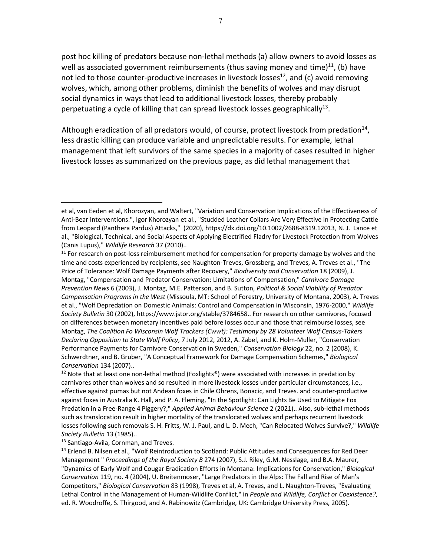post hoc killing of predators because non-lethal methods (a) allow owners to avoid losses as well as associated government reimbursements (thus saving money and time) $^{11}$ , (b) have not led to those counter-productive increases in livestock losses<sup>12</sup>, and (c) avoid removing wolves, which, among other problems, diminish the benefits of wolves and may disrupt social dynamics in ways that lead to additional livestock losses, thereby probably perpetuating a cycle of killing that can spread livestock losses geographically<sup>13</sup>.

Although eradication of all predators would, of course, protect livestock from predation<sup>14</sup>, less drastic killing can produce variable and unpredictable results. For example, lethal management that left survivors of the same species in a majority of cases resulted in higher livestock losses as summarized on the previous page, as did lethal management that

<sup>12</sup> Note that at least one non-lethal method (Foxlights®) were associated with increases in predation by carnivores other than wolves and so resulted in more livestock losses under particular circumstances, i.e., effective against pumas but not Andean foxes in Chile Ohrens, Bonacic, and Treves. and counter-productive against foxes in Australia K. Hall, and P. A. Fleming, "In the Spotlight: Can Lights Be Used to Mitigate Fox Predation in a Free-Range 4 Piggery?," *Applied Animal Behaviour Science* 2 (2021).. Also, sub-lethal methods such as translocation result in higher mortality of the translocated wolves and perhaps recurrent livestock losses following such removals S. H. Fritts, W. J. Paul, and L. D. Mech, "Can Relocated Wolves Survive?," *Wildlife Society Bulletin* 13 (1985)..

<sup>13</sup> Santiago-Avila, Cornman, and Treves.

et al, van Eeden et al, Khorozyan, and Waltert, "Variation and Conservation Implications of the Effectiveness of Anti-Bear Interventions.", Igor Khorozyan et al., "Studded Leather Collars Are Very Effective in Protecting Cattle from Leopard (Panthera Pardus) Attacks," (2020), https://dx.doi.org/10.1002/2688-8319.12013, N. J. Lance et al., "Biological, Technical, and Social Aspects of Applying Electrified Fladry for Livestock Protection from Wolves (Canis Lupus)," *Wildlife Research* 37 (2010)..

 $11$  For research on post-loss reimbursement method for compensation for property damage by wolves and the time and costs experienced by recipients, see Naughton-Treves, Grossberg, and Treves, A. Treves et al., "The Price of Tolerance: Wolf Damage Payments after Recovery," *Biodiversity and Conservation* 18 (2009), J. Montag, "Compensation and Predator Conservation: Limitations of Compensation," *Carnivore Damage Prevention News* 6 (2003), J. Montag, M.E. Patterson, and B. Sutton, *Political & Social Viability of Predator Compensation Programs in the West* (Missoula, MT: School of Forestry, University of Montana, 2003), A. Treves et al., "Wolf Depredation on Domestic Animals: Control and Compensation in Wisconsin, 1976-2000," *Wildlife Society Bulletin* 30 (2002), https://www.jstor.org/stable/3784658.. For research on other carnivores, focused on differences between monetary incentives paid before losses occur and those that reimburse losses, see Montag, *The Coalition Fo Wisconsin Wolf Trackers (Cwwt): Testimony by 28 Volunteer Wolf Census-Takers Declaring Opposition to State Wolf Policy*, 7 July 2012, 2012, A. Zabel, and K. Holm-Muller, "Conservation Performance Payments for Carnivore Conservation in Sweden," *Conservation Biology* 22, no. 2 (2008), K. Schwerdtner, and B. Gruber, "A Conceptual Framework for Damage Compensation Schemes," *Biological Conservation* 134 (2007)..

<sup>&</sup>lt;sup>14</sup> Erlend B. Nilsen et al., "Wolf Reintroduction to Scotland: Public Attitudes and Consequences for Red Deer Management " *Proceedings of the Royal Society B* 274 (2007), S.J. Riley, G.M. Nesslage, and B.A. Maurer, "Dynamics of Early Wolf and Cougar Eradication Efforts in Montana: Implications for Conservation," *Biological Conservation* 119, no. 4 (2004), U. Breitenmoser, "Large Predators in the Alps: The Fall and Rise of Man's Competitors," *Biological Conservation* 83 (1998), Treves et al, A. Treves, and L. Naughton-Treves, "Evaluating Lethal Control in the Management of Human-Wildlife Conflict," in *People and Wildlife, Conflict or Coexistence?*, ed. R. Woodroffe, S. Thirgood, and A. Rabinowitz (Cambridge, UK: Cambridge University Press, 2005).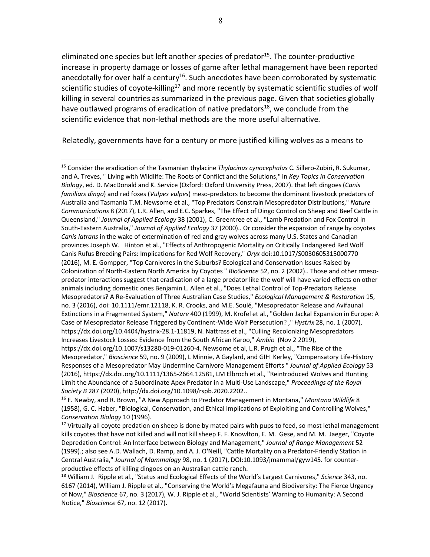eliminated one species but left another species of predator $15$ . The counter-productive increase in property damage or losses of game after lethal management have been reported anecdotally for over half a century<sup>16</sup>. Such anecdotes have been corroborated by systematic scientific studies of coyote-killing<sup>17</sup> and more recently by systematic scientific studies of wolf killing in several countries as summarized in the previous page. Given that societies globally have outlawed programs of eradication of native predators<sup>18</sup>, we conclude from the scientific evidence that non-lethal methods are the more useful alternative.

Relatedly, governments have for a century or more justified killing wolves as a means to

<sup>15</sup> Consider the eradication of the Tasmanian thylacine *Thylacinus cynocephalus* C. Sillero-Zubiri, R. Sukumar, and A. Treves, " Living with Wildlife: The Roots of Conflict and the Solutions," in *Key Topics in Conservation Biology*, ed. D. MacDonald and K. Service (Oxford: Oxford University Press, 2007). that left dingoes (*Canis familiars dingo*) and red foxes (*Vulpes vulpes*) meso-predators to become the dominant livestock predators of Australia and Tasmania T.M. Newsome et al., "Top Predators Constrain Mesopredator Distributions," *Nature Communications* 8 (2017), L.R. Allen, and E.C. Sparkes, "The Effect of Dingo Control on Sheep and Beef Cattle in Queensland," *Journal of Applied Ecology* 38 (2001), C. Greentree et al., "Lamb Predation and Fox Control in South-Eastern Australia," *Journal of Applied Ecology* 37 (2000).. Or consider the expansion of range by coyotes *Canis latrans* in the wake of extermination of red and gray wolves across many U.S. States and Canadian provinces Joseph W. Hinton et al., "Effects of Anthropogenic Mortality on Critically Endangered Red Wolf Canis Rufus Breeding Pairs: Implications for Red Wolf Recovery," *Oryx* doi:10.1017/S0030605315000770 (2016), M. E. Gompper, "Top Carnivores in the Suburbs? Ecological and Conservation Issues Raised by Colonization of North-Eastern North America by Coyotes " *BioScience* 52, no. 2 (2002).. Those and other rmesopredator interactions suggest that eradication of a large predator like the wolf will have varied effects on other animals including domestic ones Benjamin L. Allen et al., "Does Lethal Control of Top-Predators Release Mesopredators? A Re-Evaluation of Three Australian Case Studies," *Ecological Management & Restoration* 15, no. 3 (2016), doi: 10.1111/emr.12118, K. R. Crooks, and M.E. Soulé, "Mesopredator Release and Avifaunal Extinctions in a Fragmented System," *Nature* 400 (1999), M. Krofel et al., "Golden Jackal Expansion in Europe: A Case of Mesopredator Release Triggered by Continent-Wide Wolf Persecution? ," *Hystrix* 28, no. 1 (2007), https://dx.doi.org/10.4404/hystrix-28.1-11819, N. Nattrass et al., "Culling Recolonizing Mesopredators Increases Livestock Losses: Evidence from the South African Karoo," *Ambio* (Nov 2 2019), https://dx.doi.org/10.1007/s13280-019-01260-4, Newsome et al, L.R. Prugh et al., "The Rise of the Mesopredator," *Bioscience* 59, no. 9 (2009), L Minnie, A Gaylard, and GIH Kerley, "Compensatory Life-History Responses of a Mesopredator May Undermine Carnivore Management Efforts " *Journal of Applied Ecology* 53

<sup>(2016),</sup> https://dx.doi.org/10.1111/1365-2664.12581, LM Elbroch et al., "Reintroduced Wolves and Hunting Limit the Abundance of a Subordinate Apex Predator in a Multi-Use Landscape," *Proceedings of the Royal Society B* 287 (2020), http://dx.doi.org/10.1098/rspb.2020.2202..

<sup>16</sup> F. Newby, and R. Brown, "A New Approach to Predator Management in Montana," *Montana Wildlife* 8 (1958), G. C. Haber, "Biological, Conservation, and Ethical Implications of Exploiting and Controlling Wolves," *Conservation Biology* 10 (1996).

 $17$  Virtually all coyote predation on sheep is done by mated pairs with pups to feed, so most lethal management kills coyotes that have not killed and will not kill sheep F. F. Knowlton, E. M. Gese, and M. M. Jaeger, "Coyote Depredation Control: An Interface between Biology and Management," *Journal of Range Management* 52 (1999).; also see A.D. Wallach, D. Ramp, and A. J. O'Neill, "Cattle Mortality on a Predator-Friendly Station in Central Australia," *Journal of Mammalogy* 98, no. 1 (2017), DOI:10.1093/jmammal/gyw145. for counterproductive effects of killing dingoes on an Australian cattle ranch.

<sup>18</sup> William J. Ripple et al., "Status and Ecological Effects of the World's Largest Carnivores," *Science* 343, no. 6167 (2014), William J. Ripple et al., "Conserving the World's Megafauna and Biodiversity: The Fierce Urgency of Now," *Bioscience* 67, no. 3 (2017), W. J. Ripple et al., "World Scientists' Warning to Humanity: A Second Notice," *Bioscience* 67, no. 12 (2017).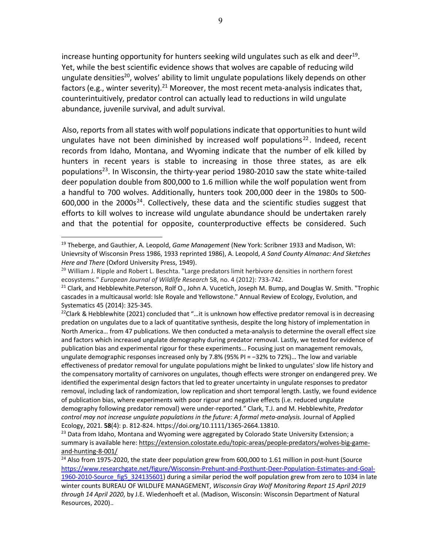increase hunting opportunity for hunters seeking wild ungulates such as elk and deer<sup>19</sup>. Yet, while the best scientific evidence shows that wolves are capable of reducing wild ungulate densities<sup>20</sup>, wolves' ability to limit ungulate populations likely depends on other factors (e.g., winter severity).<sup>21</sup> Moreover, the most recent meta-analysis indicates that, counterintuitively, predator control can actually lead to reductions in wild ungulate abundance, juvenile survival, and adult survival.

Also, reports from all states with wolf populationsindicate that opportunitiesto hunt wild ungulates have not been diminished by increased wolf populations<sup>22</sup>. Indeed, recent records from Idaho, Montana, and Wyoming indicate that the number of elk killed by hunters in recent years is stable to increasing in those three states, as are elk populations<sup>23</sup>. In Wisconsin, the thirty-year period 1980-2010 saw the state white-tailed deer population double from 800,000 to 1.6 million while the wolf population went from a handful to 700 wolves. Additionally, hunters took 200,000 deer in the 1980s to 500-  $600,000$  in the  $2000s^{24}$ . Collectively, these data and the scientific studies suggest that efforts to kill wolves to increase wild ungulate abundance should be undertaken rarely and that the potential for opposite, counterproductive effects be considered. Such

<sup>19</sup> Theberge, and Gauthier, A. Leopold, *Game Management* (New York: Scribner 1933 and Madison, WI: Unievrsity of Wisconsin Press 1986, 1933 reprinted 1986), A. Leopold, *A Sand County Almanac: And Sketches Here and There* (Oxford University Press, 1949).

 $^{20}$  William J. Ripple and Robert L. Beschta. "Large predators limit herbivore densities in northern forest ecosystems." *European Journal of Wildlife Research* 58, no. 4 (2012): 733-742.<br><sup>21</sup> Clark, and Hebblewhite.Peterson, Rolf O., John A. Vucetich, Joseph M. Bump, and Douglas W. Smith. "Trophic

cascades in a multicausal world: Isle Royale and Yellowstone." Annual Review of Ecology, Evolution, and Systematics 45 (2014): 325-345.

<sup>&</sup>lt;sup>22</sup>Clark & Hebblewhite (2021) concluded that "...it is unknown how effective predator removal is in decreasing predation on ungulates due to a lack of quantitative synthesis, despite the long history of implementation in North America… from 47 publications. We then conducted a meta-analysis to determine the overall effect size and factors which increased ungulate demography during predator removal. Lastly, we tested for evidence of publication bias and experimental rigour for these experiments… Focusing just on management removals, ungulate demographic responses increased only by 7.8% (95% PI = −32% to 72%)… The low and variable effectiveness of predator removal for ungulate populations might be linked to ungulates' slow life history and the compensatory mortality of carnivores on ungulates, though effects were stronger on endangered prey. We identified the experimental design factors that led to greater uncertainty in ungulate responses to predator removal, including lack of randomization, low replication and short temporal length. Lastly, we found evidence of publication bias, where experiments with poor rigour and negative effects (i.e. reduced ungulate demography following predator removal) were under-reported." Clark, T.J. and M. Hebblewhite, *Predator control may not increase ungulate populations in the future: A formal meta-analysis.* Journal of Applied Ecology, 2021. **58**(4): p. 812-824. https://doi.org/10.1111/1365-2664.13810.

<sup>&</sup>lt;sup>23</sup> Data from Idaho, Montana and Wyoming were aggregated by Colorado State University Extension; a summary is available here: https://extension.colostate.edu/topic-areas/people-predators/wolves-big-gameand-hunting-8-001/

<sup>&</sup>lt;sup>24</sup> Also from 1975-2020, the state deer population grew from 600,000 to 1.61 million in post-hunt (Source https://www.researchgate.net/figure/Wisconsin-Prehunt-and-Posthunt-Deer-Population-Estimates-and-Goal-1960-2010-Source fig5 324135601) during a similar period the wolf population grew from zero to 1034 in late winter counts BUREAU OF WILDLIFE MANAGEMENT, *Wisconsin Gray Wolf Monitoring Report 15 April 2019 through 14 April 2020*, by J.E. Wiedenhoeft et al. (Madison, Wisconsin: Wisconsin Department of Natural Resources, 2020)..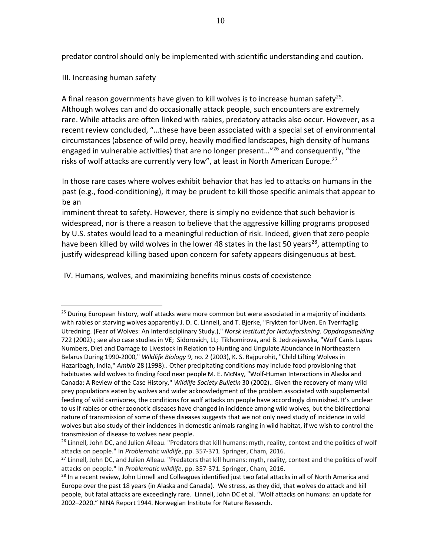predator control should only be implemented with scientific understanding and caution.

III. Increasing human safety

A final reason governments have given to kill wolves is to increase human safety<sup>25</sup>. Although wolves can and do occasionally attack people, such encounters are extremely rare. While attacks are often linked with rabies, predatory attacks also occur. However, as a recent review concluded, "…these have been associated with a special set of environmental circumstances (absence of wild prey, heavily modified landscapes, high density of humans engaged in vulnerable activities) that are no longer present...<sup>"26</sup> and consequently, "the risks of wolf attacks are currently very low", at least in North American Europe.<sup>27</sup>

In those rare cases where wolves exhibit behavior that has led to attacks on humans in the past (e.g., food-conditioning), it may be prudent to kill those specific animals that appear to be an

imminent threat to safety. However, there is simply no evidence that such behavior is widespread, nor is there a reason to believe that the aggressive killing programs proposed by U.S. states would lead to a meaningful reduction of risk. Indeed, given that zero people have been killed by wild wolves in the lower 48 states in the last 50 years<sup>28</sup>, attempting to justify widespread killing based upon concern for safety appears disingenuous at best.

IV. Humans, wolves, and maximizing benefits minus costs of coexistence

<sup>&</sup>lt;sup>25</sup> During European history, wolf attacks were more common but were associated in a majority of incidents with rabies or starving wolves apparently J. D. C. Linnell, and T. Bjerke, "Frykten for Ulven. En Tverrfaglig Utredning. (Fear of Wolves: An Interdisciplinary Study.)," *Norsk Institutt for Naturforskning. Oppdragsmelding* 722 (2002).; see also case studies in VE; Sidorovich, LL; Tikhomirova, and B. Jedrzejewska, "Wolf Canis Lupus Numbers, Diet and Damage to Livestock in Relation to Hunting and Ungulate Abundance in Northeastern Belarus During 1990-2000," *Wildlife Biology* 9, no. 2 (2003), K. S. Rajpurohit, "Child Lifting Wolves in Hazaribagh, India," *Ambio* 28 (1998).. Other precipitating conditions may include food provisioning that habituates wild wolves to finding food near people M. E. McNay, "Wolf-Human Interactions in Alaska and Canada: A Review of the Case History," *Wildlife Society Bulletin* 30 (2002).. Given the recovery of many wild prey populations eaten by wolves and wider acknowledgment of the problem associated with supplemental feeding of wild carnivores, the conditions for wolf attacks on people have accordingly diminished. It's unclear to us if rabies or other zoonotic diseases have changed in incidence among wild wolves, but the bidirectional nature of transmission of some of these diseases suggests that we not only need study of incidence in wild wolves but also study of their incidences in domestic animals ranging in wild habitat, if we wish to control the transmission of disease to wolves near people.

<sup>&</sup>lt;sup>26</sup> Linnell, John DC, and Julien Alleau. "Predators that kill humans: myth, reality, context and the politics of wolf attacks on people." In *Problematic wildlife*, pp. 357-371. Springer, Cham, 2016.

<sup>&</sup>lt;sup>27</sup> Linnell, John DC, and Julien Alleau. "Predators that kill humans: myth, reality, context and the politics of wolf attacks on people." In *Problematic wildlife*, pp. 357-371. Springer, Cham, 2016.

<sup>&</sup>lt;sup>28</sup> In a recent review, John Linnell and Colleagues identified just two fatal attacks in all of North America and Europe over the past 18 years (in Alaska and Canada). We stress, as they did, that wolves do attack and kill people, but fatal attacks are exceedingly rare. Linnell, John DC et al. "Wolf attacks on humans: an update for 2002–2020." NINA Report 1944. Norwegian Institute for Nature Research.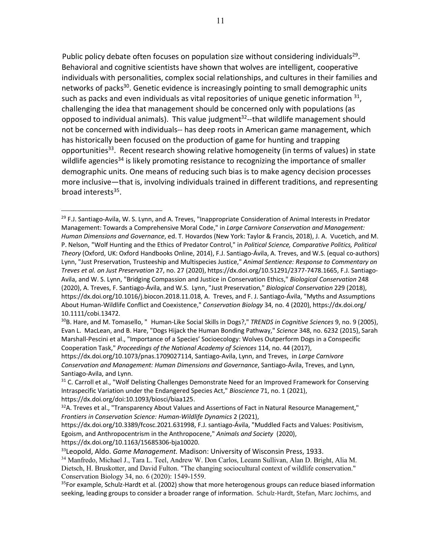Public policy debate often focuses on population size without considering individuals<sup>29</sup>. Behavioral and cognitive scientists have shown that wolves are intelligent, cooperative individuals with personalities, complex social relationships, and cultures in their families and networks of packs<sup>30</sup>. Genetic evidence is increasingly pointing to small demographic units such as packs and even individuals as vital repositories of unique genetic information  $31$ , challenging the idea that management should be concerned only with populations (as opposed to individual animals). This value judgment<sup>32</sup>--that wildlife management should not be concerned with individuals-- has deep roots in American game management, which has historically been focused on the production of game for hunting and trapping opportunities<sup>33</sup>. Recent research showing relative homogeneity (in terms of values) in state wildlife agencies<sup>34</sup> is likely promoting resistance to recognizing the importance of smaller demographic units. One means of reducing such bias is to make agency decision processes more inclusive—that is, involving individuals trained in different traditions, and representing broad interests<sup>35</sup>.

11

 $^{29}$  F.J. Santiago-Avila, W. S. Lynn, and A. Treves, "Inappropriate Consideration of Animal Interests in Predator Management: Towards a Comprehensive Moral Code," in *Large Carnivore Conservation and Management: Human Dimensions and Governance*, ed. T. Hovardos (New York: Taylor & Francis, 2018), J. A. Vucetich, and M. P. Nelson, "Wolf Hunting and the Ethics of Predator Control," in *Political Science, Comparative Politics, Political Theory* (Oxford, UK: Oxford Handbooks Online, 2014), F.J. Santiago-Ávila, A. Treves, and W.S. (equal co-authors) Lynn, "Just Preservation, Trusteeship and Multispecies Justice," *Animal Sentience: Response to Commentary on Treves et al. on Just Preservation* 27, no. 27 (2020), https://dx.doi.org/10.51291/2377-7478.1665, F.J. Santiago-Avila, and W. S. Lynn, "Bridging Compassion and Justice in Conservation Ethics," *Biological Conservation* 248 (2020), A. Treves, F. Santiago-Ávila, and W.S. Lynn, "Just Preservation," *Biological Conservation* 229 (2018), https://dx.doi.org/10.1016/j.biocon.2018.11.018, A. Treves, and F. J. Santiago-Ávila, "Myths and Assumptions About Human-Wildlife Conflict and Coexistence," *Conservation Biology* 34, no. 4 (2020), https://dx.doi.org/ 10.1111/cobi.13472.

<sup>30</sup>B. Hare, and M. Tomasello, "Human-Like Social Skills in Dogs?," *TRENDS in Cognitive Sciences* 9, no. 9 (2005), Evan L. MacLean, and B. Hare, "Dogs Hijack the Human Bonding Pathway," *Science* 348, no. 6232 (2015), Sarah Marshall-Pescini et al., "Importance of a Species' Socioecology: Wolves Outperform Dogs in a Conspecific Cooperation Task," *Proceedings of the National Academy of Sciences* 114, no. 44 (2017),

https://dx.doi.org/10.1073/pnas.1709027114, Santiago-Avila, Lynn, and Treves, in *Large Carnivore Conservation and Management: Human Dimensions and Governance*, Santiago-Ávila, Treves, and Lynn, Santiago-Avila, and Lynn.

<sup>&</sup>lt;sup>31</sup> C. Carroll et al., "Wolf Delisting Challenges Demonstrate Need for an Improved Framework for Conserving Intraspecific Variation under the Endangered Species Act," *Bioscience* 71, no. 1 (2021), https://dx.doi.org/doi:10.1093/biosci/biaa125.

 $32A$ . Treves et al., "Transparency About Values and Assertions of Fact in Natural Resource Management," *Frontiers in Conservation Science: Human-Wildlife Dynamics* 2 (2021),

https://dx.doi.org/10.3389/fcosc.2021.631998, F.J. santiago-Ávila, "Muddled Facts and Values: Positivism, Egoism, and Anthropocentrism in the Anthropocene," *Animals and Society* (2020), https://dx.doi.org/10.1163/15685306-bja10020.

<sup>33</sup>Leopold, Aldo. *Game Management.* Madison: University of Wisconsin Press, 1933.

<sup>34</sup> Manfredo, Michael J., Tara L. Teel, Andrew W. Don Carlos, Leeann Sullivan, Alan D. Bright, Alia M. Dietsch, H. Bruskotter, and David Fulton. "The changing sociocultural context of wildlife conservation." Conservation Biology 34, no. 6 (2020): 1549-1559.

<sup>&</sup>lt;sup>35</sup>For example, Schulz-Hardt et al. (2002) show that more heterogenous groups can reduce biased information seeking, leading groups to consider a broader range of information. Schulz-Hardt, Stefan, Marc Jochims, and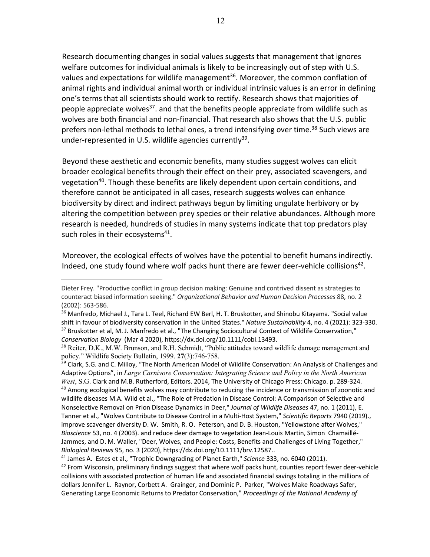Research documenting changes in social values suggests that management that ignores welfare outcomes for individual animals is likely to be increasingly out of step with U.S. values and expectations for wildlife management<sup>36</sup>. Moreover, the common conflation of animal rights and individual animal worth or individual intrinsic values is an error in defining one's terms that all scientists should work to rectify. Research shows that majorities of people appreciate wolves<sup>37</sup>, and that the benefits people appreciate from wildlife such as wolves are both financial and non-financial. That research also shows that the U.S. public prefers non-lethal methods to lethal ones, a trend intensifying over time.<sup>38</sup> Such views are under-represented in U.S. wildlife agencies currently<sup>39</sup>.

Beyond these aesthetic and economic benefits, many studies suggest wolves can elicit broader ecological benefits through their effect on their prey, associated scavengers, and vegetation<sup>40</sup>. Though these benefits are likely dependent upon certain conditions, and therefore cannot be anticipated in all cases, research suggests wolves can enhance biodiversity by direct and indirect pathways begun by limiting ungulate herbivory or by altering the competition between prey species or their relative abundances. Although more research is needed, hundreds of studies in many systems indicate that top predators play such roles in their ecosystems $41$ .

Moreover, the ecological effects of wolves have the potential to benefit humans indirectly. Indeed, one study found where wolf packs hunt there are fewer deer-vehicle collisions<sup>42</sup>.

Dieter Frey. "Productive conflict in group decision making: Genuine and contrived dissent as strategies to counteract biased information seeking." *Organizational Behavior and Human Decision Processes* 88, no. 2 (2002): 563-586.

<sup>&</sup>lt;sup>36</sup> Manfredo, Michael J., Tara L. Teel, Richard EW Berl, H. T. Bruskotter, and Shinobu Kitayama. "Social value shift in favour of biodiversity conservation in the United States." *Nature Sustainability* 4, no. 4 (2021): 323-330.

<sup>&</sup>lt;sup>37</sup> Bruskotter et al, M. J. Manfredo et al., "The Changing Sociocultural Context of Wildlife Conservation," *Conservation Biology* (Mar 4 2020), https://dx.doi.org/10.1111/cobi.13493.

<sup>&</sup>lt;sup>38</sup> Reiter, D.K., M.W. Brunson, and R.H. Schmidt, "Public attitudes toward wildlife damage management and policy." Wildlife Society Bulletin, 1999. **27**(3):746-758.

<sup>&</sup>lt;sup>39</sup> Clark, S.G. and C. Milloy, "The North American Model of Wildlife Conservation: An Analysis of Challenges and Adaptive Options", in *Large Carnivore Conservation: Integrating Science and Policy in the North American West*, S.G. Clark and M.B. Rutherford, Editors. 2014, The University of Chicago Press: Chicago. p. 289-324. <sup>40</sup> Among ecological benefits wolves may contribute to reducing the incidence or transmission of zoonotic and wildlife diseases M.A. Wild et al., "The Role of Predation in Disease Control: A Comparison of Selective and Nonselective Removal on Prion Disease Dynamics in Deer," *Journal of Wildlife Diseases* 47, no. 1 (2011), E. Tanner et al., "Wolves Contribute to Disease Control in a Multi-Host System," *Scientific Reports* 7940 (2019)., improve scavenger diversity D. W. Smith, R. O. Peterson, and D. B. Houston, "Yellowstone after Wolves," *Bioscience* 53, no. 4 (2003). and reduce deer damage to vegetation Jean-Louis Martin, Simon Chamaillé-Jammes, and D. M. Waller, "Deer, Wolves, and People: Costs, Benefits and Challenges of Living Together," *Biological Reviews* 95, no. 3 (2020), https://dx.doi.org/10.1111/brv.12587..

<sup>41</sup> James A. Estes et al., "Trophic Downgrading of Planet Earth," *Science* 333, no. 6040 (2011).

 $42$  From Wisconsin, preliminary findings suggest that where wolf packs hunt, counties report fewer deer-vehicle collisions with associated protection of human life and associated financial savings totaling in the millions of dollars Jennifer L. Raynor, Corbett A. Grainger, and Dominic P. Parker, "Wolves Make Roadways Safer, Generating Large Economic Returns to Predator Conservation," *Proceedings of the National Academy of*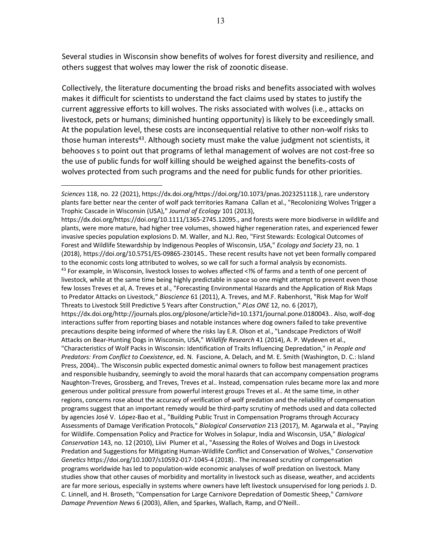Several studies in Wisconsin show benefits of wolves for forest diversity and resilience, and others suggest that wolves may lower the risk of zoonotic disease.

Collectively, the literature documenting the broad risks and benefits associated with wolves makes it difficult for scientists to understand the fact claims used by states to justify the current aggressive efforts to kill wolves. The risks associated with wolves (i.e., attacks on livestock, pets or humans; diminished hunting opportunity) is likely to be exceedingly small. At the population level, these costs are inconsequential relative to other non-wolf risks to those human interests<sup>43</sup>. Although society must make the value judgment not scientists, it behooves s to point out that programs of lethal management of wolves are not cost-free so the use of public funds for wolf killing should be weighed against the benefits-costs of wolves protected from such programs and the need for public funds for other priorities.

https://dx.doi.org/https://doi.org/10.1111/1365-2745.12095., and forests were more biodiverse in wildlife and plants, were more mature, had higher tree volumes, showed higher regeneration rates, and experienced fewer invasive species population explosions D. M. Waller, and N.J. Reo, "First Stewards: Ecological Outcomes of Forest and Wildlife Stewardship by Indigenous Peoples of Wisconsin, USA," *Ecology and Society* 23, no. 1 (2018), https://doi.org/10.5751/ES-09865-230145.. These recent results have not yet been formally compared to the economic costs long attributed to wolves, so we call for such a formal analysis by economists. <sup>43</sup> For example, in Wisconsin, livestock losses to wolves affected <!% of farms and a tenth of one percent of livestock, while at the same time being highly predictable in space so one might attempt to prevent even those few losses Treves et al, A. Treves et al., "Forecasting Environmental Hazards and the Application of Risk Maps to Predator Attacks on Livestock," *Bioscience* 61 (2011), A. Treves, and M.F. Rabenhorst, "Risk Map for Wolf Threats to Livestock Still Predictive 5 Years after Construction," *PLos ONE* 12, no. 6 (2017), https://dx.doi.org/http://journals.plos.org/plosone/article?id=10.1371/journal.pone.0180043.. Also, wolf-dog interactions suffer from reporting biases and notable instances where dog owners failed to take preventive precautions despite being informed of where the risks lay E.R. Olson et al., "Landscape Predictors of Wolf Attacks on Bear-Hunting Dogs in Wisconsin, USA," *Wildlife Research* 41 (2014), A. P. Wydeven et al., "Characteristics of Wolf Packs in Wisconsin: Identification of Traits Influencing Depredation," in *People and Predators: From Conflict to Coexistence*, ed. N. Fascione, A. Delach, and M. E. Smith (Washington, D. C.: Island Press, 2004).. The Wisconsin public expected domestic animal owners to follow best management practices and responsible husbandry, seemingly to avoid the moral hazards that can accompany compensation programs Naughton-Treves, Grossberg, and Treves, Treves et al.. Instead, compensation rules became more lax and more generous under political pressure from powerful interest groups Treves et al.. At the same time, in other regions, concerns rose about the accuracy of verification of wolf predation and the reliability of compensation programs suggest that an important remedy would be third-party scrutiny of methods used and data collected by agencies José V. López-Bao et al., "Building Public Trust in Compensation Programs through Accuracy Assessments of Damage Verification Protocols," *Biological Conservation* 213 (2017), M. Agarwala et al., "Paying for Wildlife. Compensation Policy and Practice for Wolves in Solapur, India and Wisconsin, USA," *Biological Conservation* 143, no. 12 (2010), Liivi Plumer et al., "Assessing the Roles of Wolves and Dogs in Livestock Predation and Suggestions for Mitigating Human-Wildlife Conflict and Conservation of Wolves," *Conservation Genetics* https://doi.org/10.1007/s10592-017-1045-4 (2018).. The increased scrutiny of compensation programs worldwide has led to population-wide economic analyses of wolf predation on livestock. Many studies show that other causes of morbidity and mortality in livestock such as disease, weather, and accidents are far more serious, especially in systems where owners have left livestock unsupervised for long periods J. D. C. Linnell, and H. Broseth, "Compensation for Large Carnivore Depredation of Domestic Sheep," *Carnivore Damage Prevention News* 6 (2003), Allen, and Sparkes, Wallach, Ramp, and O'Neill..

*Sciences* 118, no. 22 (2021), https://dx.doi.org/https://doi.org/10.1073/pnas.2023251118.), rare understory plants fare better near the center of wolf pack territories Ramana Callan et al., "Recolonizing Wolves Trigger a Trophic Cascade in Wisconsin (USA)," *Journal of Ecology* 101 (2013),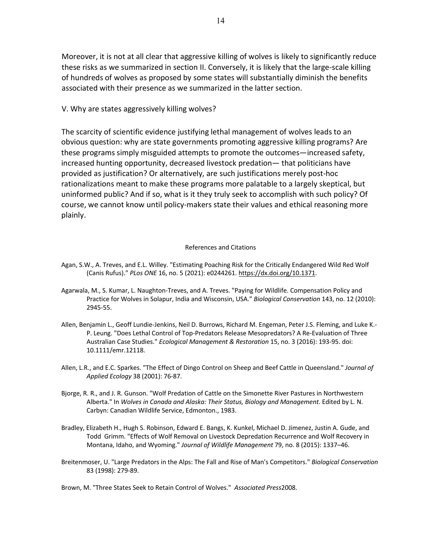Moreover, it is not at all clear that aggressive killing of wolves is likely to significantly reduce these risks as we summarized in section II. Conversely, it is likely that the large-scale killing of hundreds of wolves as proposed by some states will substantially diminish the benefits associated with their presence as we summarized in the latter section.

V. Why are states aggressively killing wolves?

The scarcity of scientific evidence justifying lethal management of wolves leads to an obvious question: why are state governments promoting aggressive killing programs? Are these programs simply misguided attempts to promote the outcomes—increased safety, increased hunting opportunity, decreased livestock predation— that politicians have provided as justification? Or alternatively, are such justifications merely post-hoc rationalizations meant to make these programs more palatable to a largely skeptical, but uninformed public? And if so, what is it they truly seek to accomplish with such policy? Of course, we cannot know until policy-makers state their values and ethical reasoning more plainly.

## References and Citations

- Agan, S.W., A. Treves, and E.L. Willey. "Estimating Poaching Risk for the Critically Endangered Wild Red Wolf (Canis Rufus)." *PLos ONE* 16, no. 5 (2021): e0244261. https://dx.doi.org/10.1371.
- Agarwala, M., S. Kumar, L. Naughton-Treves, and A. Treves. "Paying for Wildlife. Compensation Policy and Practice for Wolves in Solapur, India and Wisconsin, USA." *Biological Conservation* 143, no. 12 (2010): 2945-55.
- Allen, Benjamin L., Geoff Lundie-Jenkins, Neil D. Burrows, Richard M. Engeman, Peter J.S. Fleming, and Luke K.- P. Leung. "Does Lethal Control of Top-Predators Release Mesopredators? A Re-Evaluation of Three Australian Case Studies." *Ecological Management & Restoration* 15, no. 3 (2016): 193-95. doi: 10.1111/emr.12118.
- Allen, L.R., and E.C. Sparkes. "The Effect of Dingo Control on Sheep and Beef Cattle in Queensland." *Journal of Applied Ecology* 38 (2001): 76-87.
- Bjorge, R. R., and J. R. Gunson. "Wolf Predation of Cattle on the Simonette River Pastures in Northwestern Alberta." In *Wolves in Canada and Alaska: Their Status, Biology and Management.* Edited by L. N. Carbyn: Canadian Wildlife Service, Edmonton., 1983.
- Bradley, Elizabeth H., Hugh S. Robinson, Edward E. Bangs, K. Kunkel, Michael D. Jimenez, Justin A. Gude, and Todd Grimm. "Effects of Wolf Removal on Livestock Depredation Recurrence and Wolf Recovery in Montana, Idaho, and Wyoming." *Journal of Wildlife Management* 79, no. 8 (2015): 1337–46.
- Breitenmoser, U. "Large Predators in the Alps: The Fall and Rise of Man's Competitors." *Biological Conservation* 83 (1998): 279-89.

Brown, M. "Three States Seek to Retain Control of Wolves." *Associated Press*2008.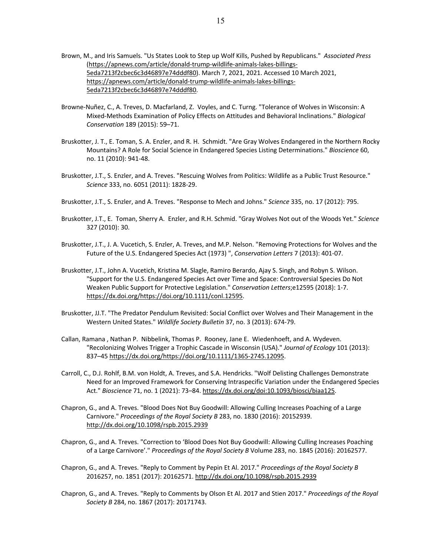- Brown, M., and Iris Samuels. "Us States Look to Step up Wolf Kills, Pushed by Republicans." *Associated Press* (https://apnews.com/article/donald-trump-wildlife-animals-lakes-billings-5eda7213f2cbec6c3d46897e74dddf80). March 7, 2021, 2021. Accessed 10 March 2021, https://apnews.com/article/donald-trump-wildlife-animals-lakes-billings-5eda7213f2cbec6c3d46897e74dddf80.
- Browne-Nuñez, C., A. Treves, D. Macfarland, Z. Voyles, and C. Turng. "Tolerance of Wolves in Wisconsin: A Mixed-Methods Examination of Policy Effects on Attitudes and Behavioral Inclinations." *Biological Conservation* 189 (2015): 59–71.
- Bruskotter, J. T., E. Toman, S. A. Enzler, and R. H. Schmidt. "Are Gray Wolves Endangered in the Northern Rocky Mountains? A Role for Social Science in Endangered Species Listing Determinations." *Bioscience* 60, no. 11 (2010): 941-48.
- Bruskotter, J.T., S. Enzler, and A. Treves. "Rescuing Wolves from Politics: Wildlife as a Public Trust Resource." *Science* 333, no. 6051 (2011): 1828-29.
- Bruskotter, J.T., S. Enzler, and A. Treves. "Response to Mech and Johns." *Science* 335, no. 17 (2012): 795.
- Bruskotter, J.T., E. Toman, Sherry A. Enzler, and R.H. Schmid. "Gray Wolves Not out of the Woods Yet." *Science* 327 (2010): 30.
- Bruskotter, J.T., J. A. Vucetich, S. Enzler, A. Treves, and M.P. Nelson. "Removing Protections for Wolves and the Future of the U.S. Endangered Species Act (1973) ", *Conservation Letters* 7 (2013): 401-07.
- Bruskotter, J.T., John A. Vucetich, Kristina M. Slagle, Ramiro Berardo, Ajay S. Singh, and Robyn S. Wilson. "Support for the U.S. Endangered Species Act over Time and Space: Controversial Species Do Not Weaken Public Support for Protective Legislation." *Conservation Letters*;e12595 (2018): 1-7. https://dx.doi.org/https://doi.org/10.1111/conl.12595.
- Bruskotter, JJ.T. "The Predator Pendulum Revisited: Social Conflict over Wolves and Their Management in the Western United States." *Wildlife Society Bulletin* 37, no. 3 (2013): 674-79.
- Callan, Ramana , Nathan P. Nibbelink, Thomas P. Rooney, Jane E. Wiedenhoeft, and A. Wydeven. "Recolonizing Wolves Trigger a Trophic Cascade in Wisconsin (USA)." *Journal of Ecology* 101 (2013): 837–45 https://dx.doi.org/https://doi.org/10.1111/1365-2745.12095.
- Carroll, C., D.J. Rohlf, B.M. von Holdt, A. Treves, and S.A. Hendricks. "Wolf Delisting Challenges Demonstrate Need for an Improved Framework for Conserving Intraspecific Variation under the Endangered Species Act." *Bioscience* 71, no. 1 (2021): 73–84. https://dx.doi.org/doi:10.1093/biosci/biaa125.
- Chapron, G., and A. Treves. "Blood Does Not Buy Goodwill: Allowing Culling Increases Poaching of a Large Carnivore." *Proceedings of the Royal Society B* 283, no. 1830 (2016): 20152939. http://dx.doi.org/10.1098/rspb.2015.2939
- Chapron, G., and A. Treves. "Correction to 'Blood Does Not Buy Goodwill: Allowing Culling Increases Poaching of a Large Carnivore'." *Proceedings of the Royal Society B* Volume 283, no. 1845 (2016): 20162577.
- Chapron, G., and A. Treves. "Reply to Comment by Pepin Et Al. 2017." *Proceedings of the Royal Society B* 2016257, no. 1851 (2017): 20162571. http://dx.doi.org/10.1098/rspb.2015.2939
- Chapron, G., and A. Treves. "Reply to Comments by Olson Et Al. 2017 and Stien 2017." *Proceedings of the Royal Society B* 284, no. 1867 (2017): 20171743.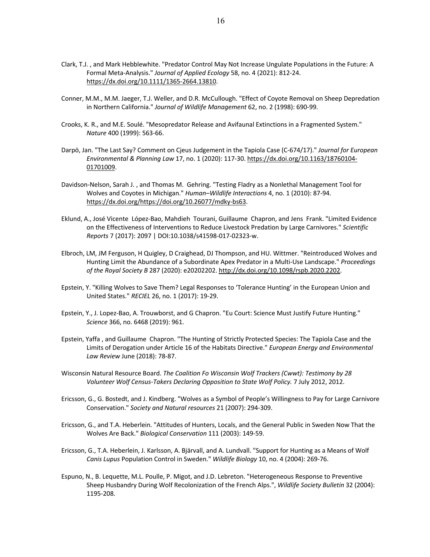- Clark, T.J. , and Mark Hebblewhite. "Predator Control May Not Increase Ungulate Populations in the Future: A Formal Meta-Analysis." *Journal of Applied Ecology* 58, no. 4 (2021): 812-24. https://dx.doi.org/10.1111/1365-2664.13810.
- Conner, M.M., M.M. Jaeger, T.J. Weller, and D.R. McCullough. "Effect of Coyote Removal on Sheep Depredation in Northern California." *Journal of Wildlife Management* 62, no. 2 (1998): 690-99.
- Crooks, K. R., and M.E. Soulé. "Mesopredator Release and Avifaunal Extinctions in a Fragmented System." *Nature* 400 (1999): 563-66.
- Darpö, Jan. "The Last Say? Comment on Cjeus Judgement in the Tapiola Case (C-674/17)." *Journal for European Environmental & Planning Law* 17, no. 1 (2020): 117-30. https://dx.doi.org/10.1163/18760104- 01701009.
- Davidson-Nelson, Sarah J. , and Thomas M. Gehring. "Testing Fladry as a Nonlethal Management Tool for Wolves and Coyotes in Michigan." *Human–Wildlife Interactions* 4, no. 1 (2010): 87-94. https://dx.doi.org/https://doi.org/10.26077/mdky-bs63.
- Eklund, A., José Vicente López-Bao, Mahdieh Tourani, Guillaume Chapron, and Jens Frank. "Limited Evidence on the Effectiveness of Interventions to Reduce Livestock Predation by Large Carnivores." *Scientific Reports* 7 (2017): 2097 | DOI:10.1038/s41598-017-02323-w.
- Elbroch, LM, JM Ferguson, H Quigley, D Craighead, DJ Thompson, and HU. Wittmer. "Reintroduced Wolves and Hunting Limit the Abundance of a Subordinate Apex Predator in a Multi-Use Landscape." *Proceedings of the Royal Society B* 287 (2020): e20202202. http://dx.doi.org/10.1098/rspb.2020.2202.
- Epstein, Y. "Killing Wolves to Save Them? Legal Responses to 'Tolerance Hunting' in the European Union and United States." *RECIEL* 26, no. 1 (2017): 19-29.
- Epstein, Y., J. Lopez-Bao, A. Trouwborst, and G Chapron. "Eu Court: Science Must Justify Future Hunting." *Science* 366, no. 6468 (2019): 961.
- Epstein, Yaffa , and Guillaume Chapron. "The Hunting of Strictly Protected Species: The Tapiola Case and the Limits of Derogation under Article 16 of the Habitats Directive." *European Energy and Environmental Law Review* June (2018): 78-87.
- Wisconsin Natural Resource Board. *The Coalition Fo Wisconsin Wolf Trackers (Cwwt): Testimony by 28 Volunteer Wolf Census-Takers Declaring Opposition to State Wolf Policy.* 7 July 2012, 2012.
- Ericsson, G., G. Bostedt, and J. Kindberg. "Wolves as a Symbol of People's Willingness to Pay for Large Carnivore Conservation." *Society and Natural resources* 21 (2007): 294-309.
- Ericsson, G., and T.A. Heberlein. "Attitudes of Hunters, Locals, and the General Public in Sweden Now That the Wolves Are Back." *Biological Conservation* 111 (2003): 149-59.
- Ericsson, G., T.A. Heberlein, J. Karlsson, A. Bjärvall, and A. Lundvall. "Support for Hunting as a Means of Wolf *Canis Lupus* Population Control in Sweden." *Wildlife Biology* 10, no. 4 (2004): 269-76.
- Espuno, N., B. Lequette, M.L. Poulle, P. Migot, and J.D. Lebreton. "Heterogeneous Response to Preventive Sheep Husbandry During Wolf Recolonization of the French Alps.", *Wildlife Society Bulletin* 32 (2004): 1195-208.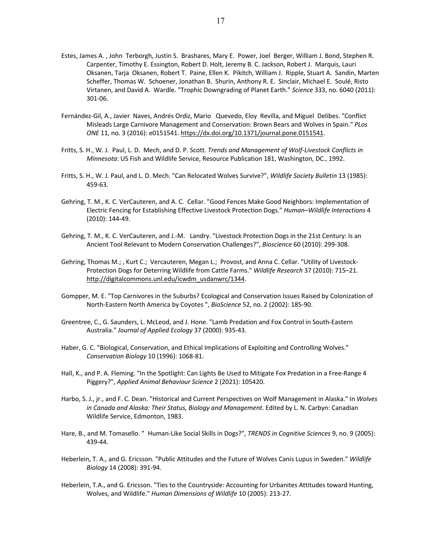- Estes, James A. , John Terborgh, Justin S. Brashares, Mary E. Power, Joel Berger, William J. Bond, Stephen R. Carpenter, Timothy E. Essington, Robert D. Holt, Jeremy B. C. Jackson, Robert J. Marquis, Lauri Oksanen, Tarja Oksanen, Robert T. Paine, Ellen K. Pikitch, William J. Ripple, Stuart A. Sandin, Marten Scheffer, Thomas W. Schoener, Jonathan B. Shurin, Anthony R. E. Sinclair, Michael E. Soulé, Risto Virtanen, and David A. Wardle. "Trophic Downgrading of Planet Earth." *Science* 333, no. 6040 (2011): 301-06.
- Fernández-Gil, A., Javier Naves, Andrés Ordiz, Mario Quevedo, Eloy Revilla, and Miguel Delibes. "Conflict Misleads Large Carnivore Management and Conservation: Brown Bears and Wolves in Spain." *PLos ONE* 11, no. 3 (2016): e0151541. https://dx.doi.org/10.1371/journal.pone.0151541.
- Fritts, S. H., W. J. Paul, L. D. Mech, and D. P. Scott. *Trends and Management of Wolf-Livestock Conflicts in Minnesota*: US Fish and Wildlife Service, Resource Publication 181, Washington, DC., 1992.
- Fritts, S. H., W. J. Paul, and L. D. Mech. "Can Relocated Wolves Survive?", *Wildlife Society Bulletin* 13 (1985): 459-63.
- Gehring, T. M., K. C. VerCauteren, and A. C. Cellar. "Good Fences Make Good Neighbors: Implementation of Electric Fencing for Establishing Effective Livestock Protection Dogs." *Human–Wildlife Interactions* 4 (2010): 144-49.
- Gehring, T. M., K. C. VerCauteren, and J.-M. Landry. "Livestock Protection Dogs in the 21st Century: Is an Ancient Tool Relevant to Modern Conservation Challenges?", *Bioscience* 60 (2010): 299-308.
- Gehring, Thomas M.; , Kurt C.; Vercauteren, Megan L.; Provost, and Anna C. Cellar. "Utility of Livestock-Protection Dogs for Deterring Wildlife from Cattle Farms." *Wildlife Research* 37 (2010): 715–21. http://digitalcommons.unl.edu/icwdm\_usdanwrc/1344.
- Gompper, M. E. "Top Carnivores in the Suburbs? Ecological and Conservation Issues Raised by Colonization of North-Eastern North America by Coyotes ", *BioScience* 52, no. 2 (2002): 185-90.
- Greentree, C., G. Saunders, L. McLeod, and J. Hone. "Lamb Predation and Fox Control in South-Eastern Australia." *Journal of Applied Ecology* 37 (2000): 935-43.
- Haber, G. C. "Biological, Conservation, and Ethical Implications of Exploiting and Controlling Wolves." *Conservation Biology* 10 (1996): 1068-81.
- Hall, K., and P. A. Fleming. "In the Spotlight: Can Lights Be Used to Mitigate Fox Predation in a Free-Range 4 Piggery?", *Applied Animal Behaviour Science* 2 (2021): 105420.
- Harbo, S. J., jr., and F. C. Dean. "Historical and Current Perspectives on Wolf Management in Alaska." In *Wolves in Canada and Alaska: Their Status, Biology and Management*. Edited by L. N. Carbyn: Canadian Wildlife Service, Edmonton, 1983.
- Hare, B., and M. Tomasello. "Human-Like Social Skills in Dogs?", *TRENDS in Cognitive Sciences* 9, no. 9 (2005): 439-44.
- Heberlein, T. A., and G. Ericsson. "Public Attitudes and the Future of Wolves Canis Lupus in Sweden." *Wildlife Biology* 14 (2008): 391-94.
- Heberlein, T.A., and G. Ericsson. "Ties to the Countryside: Accounting for Urbanites Attitudes toward Hunting, Wolves, and Wildlife." *Human Dimensions of Wildlife* 10 (2005): 213-27.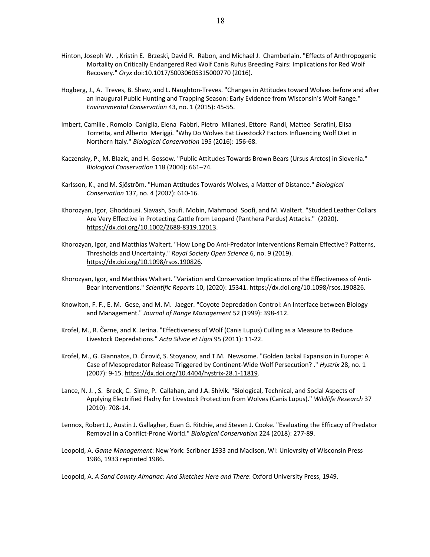- Hinton, Joseph W. , Kristin E. Brzeski, David R. Rabon, and Michael J. Chamberlain. "Effects of Anthropogenic Mortality on Critically Endangered Red Wolf Canis Rufus Breeding Pairs: Implications for Red Wolf Recovery." *Oryx* doi:10.1017/S0030605315000770 (2016).
- Hogberg, J., A. Treves, B. Shaw, and L. Naughton-Treves. "Changes in Attitudes toward Wolves before and after an Inaugural Public Hunting and Trapping Season: Early Evidence from Wisconsin's Wolf Range." *Environmental Conservation* 43, no. 1 (2015): 45-55.
- Imbert, Camille , Romolo Caniglia, Elena Fabbri, Pietro Milanesi, Ettore Randi, Matteo Serafini, Elisa Torretta, and Alberto Meriggi. "Why Do Wolves Eat Livestock? Factors Influencing Wolf Diet in Northern Italy." *Biological Conservation* 195 (2016): 156-68.
- Kaczensky, P., M. Blazic, and H. Gossow. "Public Attitudes Towards Brown Bears (Ursus Arctos) in Slovenia." *Biological Conservation* 118 (2004): 661–74.
- Karlsson, K., and M. Sjöström. "Human Attitudes Towards Wolves, a Matter of Distance." *Biological Conservation* 137, no. 4 (2007): 610-16.
- Khorozyan, Igor, Ghoddousi. Siavash, Soufi. Mobin, Mahmood Soofi, and M. Waltert. "Studded Leather Collars Are Very Effective in Protecting Cattle from Leopard (Panthera Pardus) Attacks." (2020). https://dx.doi.org/10.1002/2688-8319.12013.
- Khorozyan, Igor, and Matthias Waltert. "How Long Do Anti-Predator Interventions Remain Effective? Patterns, Thresholds and Uncertainty." *Royal Society Open Science* 6, no. 9 (2019). https://dx.doi.org/10.1098/rsos.190826.
- Khorozyan, Igor, and Matthias Waltert. "Variation and Conservation Implications of the Effectiveness of Anti-Bear Interventions." *Scientific Reports* 10, (2020): 15341. https://dx.doi.org/10.1098/rsos.190826.
- Knowlton, F. F., E. M. Gese, and M. M. Jaeger. "Coyote Depredation Control: An Interface between Biology and Management." *Journal of Range Management* 52 (1999): 398-412.
- Krofel, M., R. Černe, and K. Jerina. "Effectiveness of Wolf (Canis Lupus) Culling as a Measure to Reduce Livestock Depredations." *Acta Silvae et Ligni* 95 (2011): 11-22.
- Krofel, M., G. Giannatos, D. Ćirović, S. Stoyanov, and T.M. Newsome. "Golden Jackal Expansion in Europe: A Case of Mesopredator Release Triggered by Continent-Wide Wolf Persecution? ." *Hystrix* 28, no. 1 (2007): 9-15. https://dx.doi.org/10.4404/hystrix-28.1-11819.
- Lance, N. J. , S. Breck, C. Sime, P. Callahan, and J.A. Shivik. "Biological, Technical, and Social Aspects of Applying Electrified Fladry for Livestock Protection from Wolves (Canis Lupus)." *Wildlife Research* 37 (2010): 708-14.
- Lennox, Robert J., Austin J. Gallagher, Euan G. Ritchie, and Steven J. Cooke. "Evaluating the Efficacy of Predator Removal in a Conflict-Prone World." *Biological Conservation* 224 (2018): 277-89.
- Leopold, A. *Game Management*: New York: Scribner 1933 and Madison, WI: Unievrsity of Wisconsin Press 1986, 1933 reprinted 1986.

Leopold, A. *A Sand County Almanac: And Sketches Here and There*: Oxford University Press, 1949.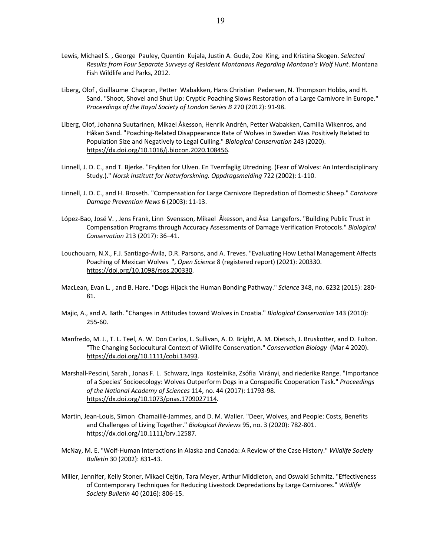- Lewis, Michael S. , George Pauley, Quentin Kujala, Justin A. Gude, Zoe King, and Kristina Skogen. *Selected Results from Four Separate Surveys of Resident Montanans Regarding Montana's Wolf Hunt*. Montana Fish Wildlife and Parks, 2012.
- Liberg, Olof , Guillaume Chapron, Petter Wabakken, Hans Christian Pedersen, N. Thompson Hobbs, and H. Sand. "Shoot, Shovel and Shut Up: Cryptic Poaching Slows Restoration of a Large Carnivore in Europe." *Proceedings of the Royal Society of London Series B* 270 (2012): 91-98.
- Liberg, Olof, Johanna Suutarinen, Mikael Åkesson, Henrik Andrén, Petter Wabakken, Camilla Wikenros, and Håkan Sand. "Poaching-Related Disappearance Rate of Wolves in Sweden Was Positively Related to Population Size and Negatively to Legal Culling." *Biological Conservation* 243 (2020). https://dx.doi.org/10.1016/j.biocon.2020.108456.
- Linnell, J. D. C., and T. Bjerke. "Frykten for Ulven. En Tverrfaglig Utredning. (Fear of Wolves: An Interdisciplinary Study.)." *Norsk Institutt for Naturforskning. Oppdragsmelding* 722 (2002): 1-110.
- Linnell, J. D. C., and H. Broseth. "Compensation for Large Carnivore Depredation of Domestic Sheep." *Carnivore Damage Prevention News* 6 (2003): 11-13.
- López-Bao, José V. , Jens Frank, Linn Svensson, Mikael Åkesson, and Åsa Langefors. "Building Public Trust in Compensation Programs through Accuracy Assessments of Damage Verification Protocols." *Biological Conservation* 213 (2017): 36–41.
- Louchouarn, N.X., F.J. Santiago-Ávila, D.R. Parsons, and A. Treves. "Evaluating How Lethal Management Affects Poaching of Mexican Wolves ", *Open Science* 8 (registered report) (2021): 200330. https://doi.org/10.1098/rsos.200330.
- MacLean, Evan L. , and B. Hare. "Dogs Hijack the Human Bonding Pathway." *Science* 348, no. 6232 (2015): 280- 81.
- Majic, A., and A. Bath. "Changes in Attitudes toward Wolves in Croatia." *Biological Conservation* 143 (2010): 255-60.
- Manfredo, M. J., T. L. Teel, A. W. Don Carlos, L. Sullivan, A. D. Bright, A. M. Dietsch, J. Bruskotter, and D. Fulton. "The Changing Sociocultural Context of Wildlife Conservation." *Conservation Biology* (Mar 4 2020). https://dx.doi.org/10.1111/cobi.13493.
- Marshall-Pescini, Sarah , Jonas F. L. Schwarz, Inga Kostelnika, Zsófia Virányi, and riederike Range. "Importance of a Species' Socioecology: Wolves Outperform Dogs in a Conspecific Cooperation Task." *Proceedings of the National Academy of Sciences* 114, no. 44 (2017): 11793-98. https://dx.doi.org/10.1073/pnas.1709027114.
- Martin, Jean-Louis, Simon Chamaillé-Jammes, and D. M. Waller. "Deer, Wolves, and People: Costs, Benefits and Challenges of Living Together." *Biological Reviews* 95, no. 3 (2020): 782-801. https://dx.doi.org/10.1111/brv.12587.
- McNay, M. E. "Wolf-Human Interactions in Alaska and Canada: A Review of the Case History." *Wildlife Society Bulletin* 30 (2002): 831-43.
- Miller, Jennifer, Kelly Stoner, Mikael Cejtin, Tara Meyer, Arthur Middleton, and Oswald Schmitz. "Effectiveness of Contemporary Techniques for Reducing Livestock Depredations by Large Carnivores." *Wildlife Society Bulletin* 40 (2016): 806-15.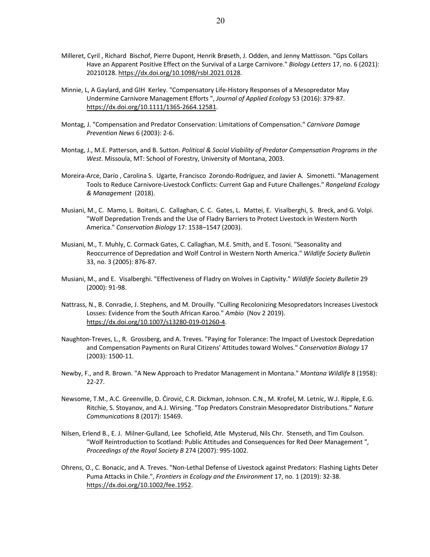- Milleret, Cyril , Richard Bischof, Pierre Dupont, Henrik Brøseth, J. Odden, and Jenny Mattisson. "Gps Collars Have an Apparent Positive Effect on the Survival of a Large Carnivore." *Biology Letters* 17, no. 6 (2021): 20210128. https://dx.doi.org/10.1098/rsbl.2021.0128.
- Minnie, L, A Gaylard, and GIH Kerley. "Compensatory Life-History Responses of a Mesopredator May Undermine Carnivore Management Efforts ", *Journal of Applied Ecology* 53 (2016): 379-87. https://dx.doi.org/10.1111/1365-2664.12581.
- Montag, J. "Compensation and Predator Conservation: Limitations of Compensation." *Carnivore Damage Prevention News* 6 (2003): 2-6.
- Montag, J., M.E. Patterson, and B. Sutton. *Political & Social Viability of Predator Compensation Programs in the West*. Missoula, MT: School of Forestry, University of Montana, 2003.
- Moreira-Arce, Darío , Carolina S. Ugarte, Francisco Zorondo-Rodríguez, and Javier A. Simonetti. "Management Tools to Reduce Carnivore-Livestock Conflicts: Current Gap and Future Challenges." *Rangeland Ecology & Management* (2018).
- Musiani, M., C. Mamo, L. Boitani, C. Callaghan, C. C. Gates, L. Mattei, E. Visalberghi, S. Breck, and G. Volpi. "Wolf Depredation Trends and the Use of Fladry Barriers to Protect Livestock in Western North America." *Conservation Biology* 17: 1538–1547 (2003).
- Musiani, M., T. Muhly, C. Cormack Gates, C. Callaghan, M.E. Smith, and E. Tosoni. "Seasonality and Reoccurrence of Depredation and Wolf Control in Western North America." *Wildlife Society Bulletin* 33, no. 3 (2005): 876-87.
- Musiani, M., and E. Visalberghi. "Effectiveness of Fladry on Wolves in Captivity." *Wildlife Society Bulletin* 29 (2000): 91-98.
- Nattrass, N., B. Conradie, J. Stephens, and M. Drouilly. "Culling Recolonizing Mesopredators Increases Livestock Losses: Evidence from the South African Karoo." *Ambio* (Nov 2 2019). https://dx.doi.org/10.1007/s13280-019-01260-4.
- Naughton-Treves, L., R. Grossberg, and A. Treves. "Paying for Tolerance: The Impact of Livestock Depredation and Compensation Payments on Rural Citizens' Attitudes toward Wolves." *Conservation Biology* 17 (2003): 1500-11.
- Newby, F., and R. Brown. "A New Approach to Predator Management in Montana." *Montana Wildlife* 8 (1958): 22-27.
- Newsome, T.M., A.C. Greenville, D. Ćirović, C.R. Dickman, Johnson. C.N., M. Krofel, M. Letnic, W.J. Ripple, E.G. Ritchie, S. Stoyanov, and A.J. Wirsing. "Top Predators Constrain Mesopredator Distributions." *Nature Communications* 8 (2017): 15469.
- Nilsen, Erlend B., E. J. Milner-Gulland, Lee Schofield, Atle Mysterud, Nils Chr. Stenseth, and Tim Coulson. "Wolf Reintroduction to Scotland: Public Attitudes and Consequences for Red Deer Management ", *Proceedings of the Royal Society B* 274 (2007): 995-1002.
- Ohrens, O., C. Bonacic, and A. Treves. "Non-Lethal Defense of Livestock against Predators: Flashing Lights Deter Puma Attacks in Chile.", *Frontiers in Ecology and the Environment* 17, no. 1 (2019): 32-38. https://dx.doi.org/10.1002/fee.1952.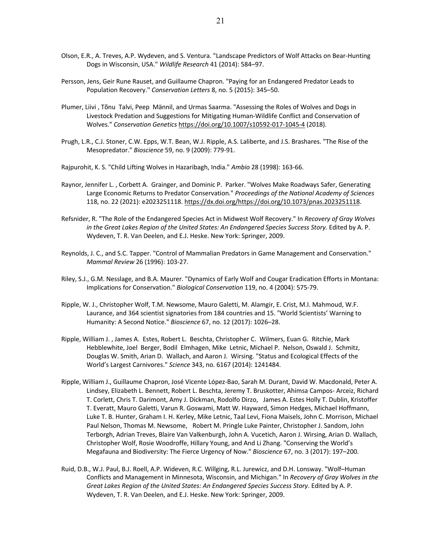- Olson, E.R., A. Treves, A.P. Wydeven, and S. Ventura. "Landscape Predictors of Wolf Attacks on Bear-Hunting Dogs in Wisconsin, USA." *Wildlife Research* 41 (2014): 584–97.
- Persson, Jens, Geir Rune Rauset, and Guillaume Chapron. "Paying for an Endangered Predator Leads to Population Recovery." *Conservation Letters* 8, no. 5 (2015): 345–50.
- Plumer, Liivi , Tõnu Talvi, Peep Männil, and Urmas Saarma. "Assessing the Roles of Wolves and Dogs in Livestock Predation and Suggestions for Mitigating Human-Wildlife Conflict and Conservation of Wolves." *Conservation Genetics* https://doi.org/10.1007/s10592-017-1045-4 (2018).
- Prugh, L.R., C.J. Stoner, C.W. Epps, W.T. Bean, W.J. Ripple, A.S. Laliberte, and J.S. Brashares. "The Rise of the Mesopredator." *Bioscience* 59, no. 9 (2009): 779-91.
- Rajpurohit, K. S. "Child Lifting Wolves in Hazaribagh, India." *Ambio* 28 (1998): 163-66.
- Raynor, Jennifer L. , Corbett A. Grainger, and Dominic P. Parker. "Wolves Make Roadways Safer, Generating Large Economic Returns to Predator Conservation." *Proceedings of the National Academy of Sciences* 118, no. 22 (2021): e2023251118. https://dx.doi.org/https://doi.org/10.1073/pnas.2023251118.
- Refsnider, R. "The Role of the Endangered Species Act in Midwest Wolf Recovery." In *Recovery of Gray Wolves in the Great Lakes Region of the United States: An Endangered Species Success Story*. Edited by A. P. Wydeven, T. R. Van Deelen, and E.J. Heske. New York: Springer, 2009.
- Reynolds, J. C., and S.C. Tapper. "Control of Mammalian Predators in Game Management and Conservation." *Mammal Review* 26 (1996): 103-27.
- Riley, S.J., G.M. Nesslage, and B.A. Maurer. "Dynamics of Early Wolf and Cougar Eradication Efforts in Montana: Implications for Conservation." *Biological Conservation* 119, no. 4 (2004): 575-79.
- Ripple, W. J., Christopher Wolf, T.M. Newsome, Mauro Galetti, M. Alamgir, E. Crist, M.I. Mahmoud, W.F. Laurance, and 364 scientist signatories from 184 countries and 15. "World Scientists' Warning to Humanity: A Second Notice." *Bioscience* 67, no. 12 (2017): 1026–28.
- Ripple, William J. , James A. Estes, Robert L. Beschta, Christopher C. Wilmers, Euan G. Ritchie, Mark Hebblewhite, Joel Berger, Bodil Elmhagen, Mike Letnic, Michael P. Nelson, Oswald J. Schmitz, Douglas W. Smith, Arian D. Wallach, and Aaron J. Wirsing. "Status and Ecological Effects of the World's Largest Carnivores." *Science* 343, no. 6167 (2014): 1241484.
- Ripple, William J., Guillaume Chapron, José Vicente López-Bao, Sarah M. Durant, David W. Macdonald, Peter A. Lindsey, Elizabeth L. Bennett, Robert L. Beschta, Jeremy T. Bruskotter, Ahimsa Campos- Arceiz, Richard T. Corlett, Chris T. Darimont, Amy J. Dickman, Rodolfo Dirzo, James A. Estes Holly T. Dublin, Kristoffer T. Everatt, Mauro Galetti, Varun R. Goswami, Matt W. Hayward, Simon Hedges, Michael Hoffmann, Luke T. B. Hunter, Graham I. H. Kerley, Mike Letnic, Taal Levi, Fiona Maisels, John C. Morrison, Michael Paul Nelson, Thomas M. Newsome, Robert M. Pringle Luke Painter, Christopher J. Sandom, John Terborgh, Adrian Treves, Blaire Van Valkenburgh, John A. Vucetich, Aaron J. Wirsing, Arian D. Wallach, Christopher Wolf, Rosie Woodroffe, Hillary Young, and And Li Zhang. "Conserving the World's Megafauna and Biodiversity: The Fierce Urgency of Now." *Bioscience* 67, no. 3 (2017): 197–200.
- Ruid, D.B., W.J. Paul, B.J. Roell, A.P. Wideven, R.C. Willging, R.L. Jurewicz, and D.H. Lonsway. "Wolf–Human Conflicts and Management in Minnesota, Wisconsin, and Michigan." In *Recovery of Gray Wolves in the Great Lakes Region of the United States: An Endangered Species Success Story*. Edited by A. P. Wydeven, T. R. Van Deelen, and E.J. Heske. New York: Springer, 2009.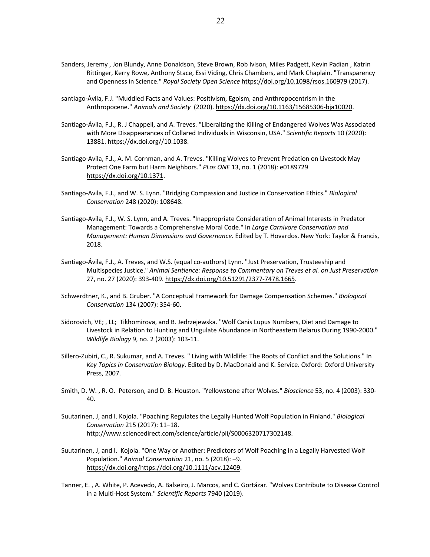- Sanders, Jeremy , Jon Blundy, Anne Donaldson, Steve Brown, Rob Ivison, Miles Padgett, Kevin Padian , Katrin Rittinger, Kerry Rowe, Anthony Stace, Essi Viding, Chris Chambers, and Mark Chaplain. "Transparency and Openness in Science." *Royal Society Open Science* https://doi.org/10.1098/rsos.160979 (2017).
- santiago-Ávila, F.J. "Muddled Facts and Values: Positivism, Egoism, and Anthropocentrism in the Anthropocene." *Animals and Society* (2020). https://dx.doi.org/10.1163/15685306-bja10020.
- Santiago-Ávila, F.J., R. J Chappell, and A. Treves. "Liberalizing the Killing of Endangered Wolves Was Associated with More Disappearances of Collared Individuals in Wisconsin, USA." *Scientific Reports* 10 (2020): 13881. https://dx.doi.org//10.1038.
- Santiago-Avila, F.J., A. M. Cornman, and A. Treves. "Killing Wolves to Prevent Predation on Livestock May Protect One Farm but Harm Neighbors." *PLos ONE* 13, no. 1 (2018): e0189729 https://dx.doi.org/10.1371.
- Santiago-Avila, F.J., and W. S. Lynn. "Bridging Compassion and Justice in Conservation Ethics." *Biological Conservation* 248 (2020): 108648.
- Santiago-Avila, F.J., W. S. Lynn, and A. Treves. "Inappropriate Consideration of Animal Interests in Predator Management: Towards a Comprehensive Moral Code." In *Large Carnivore Conservation and Management: Human Dimensions and Governance*. Edited by T. Hovardos. New York: Taylor & Francis, 2018.
- Santiago-Ávila, F.J., A. Treves, and W.S. (equal co-authors) Lynn. "Just Preservation, Trusteeship and Multispecies Justice." *Animal Sentience: Response to Commentary on Treves et al. on Just Preservation* 27, no. 27 (2020): 393-409. https://dx.doi.org/10.51291/2377-7478.1665.
- Schwerdtner, K., and B. Gruber. "A Conceptual Framework for Damage Compensation Schemes." *Biological Conservation* 134 (2007): 354-60.
- Sidorovich, VE; , LL; Tikhomirova, and B. Jedrzejewska. "Wolf Canis Lupus Numbers, Diet and Damage to Livestock in Relation to Hunting and Ungulate Abundance in Northeastern Belarus During 1990-2000." *Wildlife Biology* 9, no. 2 (2003): 103-11.
- Sillero-Zubiri, C., R. Sukumar, and A. Treves. " Living with Wildlife: The Roots of Conflict and the Solutions." In *Key Topics in Conservation Biology*. Edited by D. MacDonald and K. Service. Oxford: Oxford University Press, 2007.
- Smith, D. W. , R. O. Peterson, and D. B. Houston. "Yellowstone after Wolves." *Bioscience* 53, no. 4 (2003): 330- 40.
- Suutarinen, J, and I. Kojola. "Poaching Regulates the Legally Hunted Wolf Population in Finland." *Biological Conservation* 215 (2017): 11–18. http://www.sciencedirect.com/science/article/pii/S0006320717302148.
- Suutarinen, J, and I. Kojola. "One Way or Another: Predictors of Wolf Poaching in a Legally Harvested Wolf Population." *Animal Conservation* 21, no. 5 (2018): –9. https://dx.doi.org/https://doi.org/10.1111/acv.12409.
- Tanner, E. , A. White, P. Acevedo, A. Balseiro, J. Marcos, and C. Gortázar. "Wolves Contribute to Disease Control in a Multi-Host System." *Scientific Reports* 7940 (2019).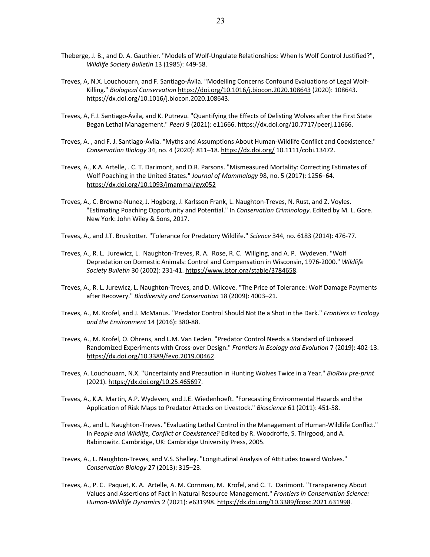- Theberge, J. B., and D. A. Gauthier. "Models of Wolf-Ungulate Relationships: When Is Wolf Control Justified?", *Wildlife Society Bulletin* 13 (1985): 449-58.
- Treves, A, N.X. Louchouarn, and F. Santiago-Ávila. "Modelling Concerns Confound Evaluations of Legal Wolf-Killing." *Biological Conservation* https://doi.org/10.1016/j.biocon.2020.108643 (2020): 108643. https://dx.doi.org/10.1016/j.biocon.2020.108643.
- Treves, A, F.J. Santiago-Ávila, and K. Putrevu. "Quantifying the Effects of Delisting Wolves after the First State Began Lethal Management." *PeerJ* 9 (2021): e11666. https://dx.doi.org/10.7717/peerj.11666.
- Treves, A. , and F. J. Santiago-Ávila. "Myths and Assumptions About Human-Wildlife Conflict and Coexistence." *Conservation Biology* 34, no. 4 (2020): 811–18. https://dx.doi.org/ 10.1111/cobi.13472.
- Treves, A., K.A. Artelle, . C. T. Darimont, and D.R. Parsons. "Mismeasured Mortality: Correcting Estimates of Wolf Poaching in the United States." *Journal of Mammalogy* 98, no. 5 (2017): 1256–64. https://dx.doi.org/10.1093/jmammal/gyx052
- Treves, A., C. Browne-Nunez, J. Hogberg, J. Karlsson Frank, L. Naughton-Treves, N. Rust, and Z. Voyles. "Estimating Poaching Opportunity and Potential." In *Conservation Criminology*. Edited by M. L. Gore. New York: John Wiley & Sons, 2017.
- Treves, A., and J.T. Bruskotter. "Tolerance for Predatory Wildlife." *Science* 344, no. 6183 (2014): 476-77.
- Treves, A., R. L. Jurewicz, L. Naughton-Treves, R. A. Rose, R. C. Willging, and A. P. Wydeven. "Wolf Depredation on Domestic Animals: Control and Compensation in Wisconsin, 1976-2000." *Wildlife Society Bulletin* 30 (2002): 231-41. https://www.jstor.org/stable/3784658.
- Treves, A., R. L. Jurewicz, L. Naughton-Treves, and D. Wilcove. "The Price of Tolerance: Wolf Damage Payments after Recovery." *Biodiversity and Conservation* 18 (2009): 4003–21.
- Treves, A., M. Krofel, and J. McManus. "Predator Control Should Not Be a Shot in the Dark." *Frontiers in Ecology and the Environment* 14 (2016): 380-88.
- Treves, A., M. Krofel, O. Ohrens, and L.M. Van Eeden. "Predator Control Needs a Standard of Unbiased Randomized Experiments with Cross-over Design." *Frontiers in Ecology and Evolution* 7 (2019): 402-13. https://dx.doi.org/10.3389/fevo.2019.00462.
- Treves, A. Louchouarn, N.X. "Uncertainty and Precaution in Hunting Wolves Twice in a Year." *BioRxiv pre-print* (2021). https://dx.doi.org/10.25.465697.
- Treves, A., K.A. Martin, A.P. Wydeven, and J.E. Wiedenhoeft. "Forecasting Environmental Hazards and the Application of Risk Maps to Predator Attacks on Livestock." *Bioscience* 61 (2011): 451-58.
- Treves, A., and L. Naughton-Treves. "Evaluating Lethal Control in the Management of Human-Wildlife Conflict." In *People and Wildlife, Conflict or Coexistence?* Edited by R. Woodroffe, S. Thirgood, and A. Rabinowitz. Cambridge, UK: Cambridge University Press, 2005.
- Treves, A., L. Naughton-Treves, and V.S. Shelley. "Longitudinal Analysis of Attitudes toward Wolves." *Conservation Biology* 27 (2013): 315–23.
- Treves, A., P. C. Paquet, K. A. Artelle, A. M. Cornman, M. Krofel, and C. T. Darimont. "Transparency About Values and Assertions of Fact in Natural Resource Management." *Frontiers in Conservation Science: Human-Wildlife Dynamics* 2 (2021): e631998. https://dx.doi.org/10.3389/fcosc.2021.631998.